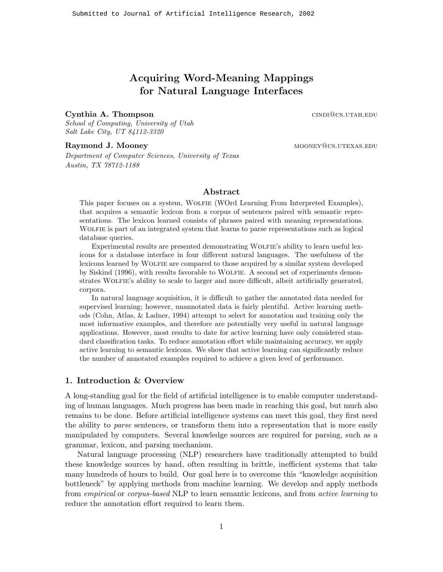# **Acquiring Word-Meaning Mappings for Natural Language Interfaces**

# **Cynthia A. Thompson** cindians conduct conducts conduct conducts conduct  $\alpha$  cindians conducts conduct conducts of  $\alpha$  conducts  $\alpha$  conducts of  $\alpha$  conducts of  $\alpha$  conducts of  $\alpha$  conducts of  $\alpha$  conducts of  $\alpha$  co

*School of Computing, University of Utah Salt Lake City, UT 84112-3320*

### **Raymond J. Mooney mooney and a set of the set of the mooney mooney mooney mooney mooney mooney mooney mooney mooney mooney mooney mooney mooney mooney mooney mooney mooney mooney mooney mooney mooney mooney mooney mooney**

*Department of Computer Sciences, University of Texas Austin, TX 78712-1188*

# **Abstract**

This paper focuses on a system, Wolfie (WOrd Learning From Interpreted Examples), that acquires a semantic lexicon from a corpus of sentences paired with semantic representations. The lexicon learned consists of phrases paired with meaning representations. Wolfie is part of an integrated system that learns to parse representations such as logical database queries.

Experimental results are presented demonstrating WOLFIE's ability to learn useful lexicons for a database interface in four different natural languages. The usefulness of the lexicons learned by Wolfie are compared to those acquired by a similar system developed by Siskind (1996), with results favorable to Wolfie. A second set of experiments demonstrates WOLFIE's ability to scale to larger and more difficult, albeit artificially generated, corpora.

In natural language acquisition, it is difficult to gather the annotated data needed for supervised learning; however, unannotated data is fairly plentiful. Active learning methods (Cohn, Atlas, & Ladner, 1994) attempt to select for annotation and training only the most informative examples, and therefore are potentially very useful in natural language applications. However, most results to date for active learning have only considered standard classification tasks. To reduce annotation effort while maintaining accuracy, we apply active learning to semantic lexicons. We show that active learning can significantly reduce the number of annotated examples required to achieve a given level of performance.

# **1. Introduction & Overview**

A long-standing goal for the field of artificial intelligence is to enable computer understanding of human languages. Much progress has been made in reaching this goal, but much also remains to be done. Before artificial intelligence systems can meet this goal, they first need the ability to *parse* sentences, or transform them into a representation that is more easily manipulated by computers. Several knowledge sources are required for parsing, such as a grammar, lexicon, and parsing mechanism.

Natural language processing (NLP) researchers have traditionally attempted to build these knowledge sources by hand, often resulting in brittle, inefficient systems that take many hundreds of hours to build. Our goal here is to overcome this "knowledge acquisition bottleneck" by applying methods from machine learning. We develop and apply methods from *empirical* or *corpus-based* NLP to learn semantic lexicons, and from *active learning* to reduce the annotation effort required to learn them.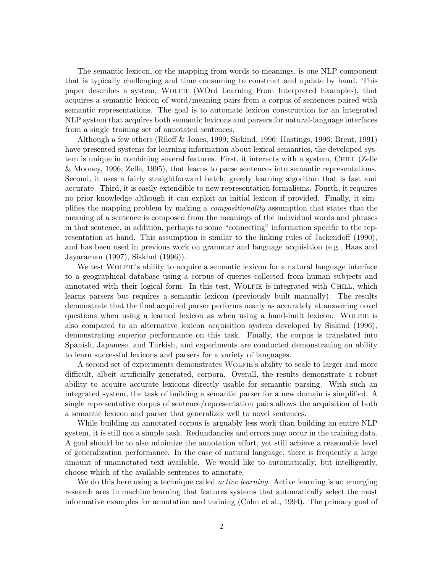The semantic lexicon, or the mapping from words to meanings, is one NLP component that is typically challenging and time consuming to construct and update by hand. This paper describes a system, Wolfie (WOrd Learning From Interpreted Examples), that acquires a semantic lexicon of word/meaning pairs from a corpus of sentences paired with semantic representations. The goal is to automate lexicon construction for an integrated NLP system that acquires both semantic lexicons and parsers for natural-language interfaces from a single training set of annotated sentences.

Although a few others (Riloff & Jones, 1999; Siskind, 1996; Hastings, 1996; Brent, 1991) have presented systems for learning information about lexical semantics, the developed system is unique in combining several features. First, it interacts with a system, CHILL (Zelle & Mooney, 1996; Zelle, 1995), that learns to parse sentences into semantic representations. Second, it uses a fairly straightforward batch, greedy learning algorithm that is fast and accurate. Third, it is easily extendible to new representation formalisms. Fourth, it requires no prior knowledge although it can exploit an initial lexicon if provided. Finally, it simplifies the mapping problem by making a *compositionality* assumption that states that the meaning of a sentence is composed from the meanings of the individual words and phrases in that sentence, in addition, perhaps to some "connecting" information specific to the representation at hand. This assumption is similar to the linking rules of Jackendoff (1990), and has been used in previous work on grammar and language acquisition (e.g., Haas and Jayaraman (1997), Siskind (1996)).

We test WOLFIE's ability to acquire a semantic lexicon for a natural language interface to a geographical database using a corpus of queries collected from human subjects and annotated with their logical form. In this test, WOLFIE is integrated with CHILL, which learns parsers but requires a semantic lexicon (previously built manually). The results demonstrate that the final acquired parser performs nearly as accurately at answering novel questions when using a learned lexicon as when using a hand-built lexicon. WOLFIE is also compared to an alternative lexicon acquisition system developed by Siskind (1996), demonstrating superior performance on this task. Finally, the corpus is translated into Spanish, Japanese, and Turkish, and experiments are conducted demonstrating an ability to learn successful lexicons and parsers for a variety of languages.

A second set of experiments demonstrates Wolfie's ability to scale to larger and more difficult, albeit artificially generated, corpora. Overall, the results demonstrate a robust ability to acquire accurate lexicons directly usable for semantic parsing. With such an integrated system, the task of building a semantic parser for a new domain is simplified. A single representative corpus of sentence/representation pairs allows the acquisition of both a semantic lexicon and parser that generalizes well to novel sentences.

While building an annotated corpus is arguably less work than building an entire NLP system, it is still not a simple task. Redundancies and errors may occur in the training data. A goal should be to also minimize the annotation effort, yet still achieve a reasonable level of generalization performance. In the case of natural language, there is frequently a large amount of unannotated text available. We would like to automatically, but intelligently, choose which of the available sentences to annotate.

We do this here using a technique called *active learning*. Active learning is an emerging research area in machine learning that features systems that automatically select the most informative examples for annotation and training (Cohn et al., 1994). The primary goal of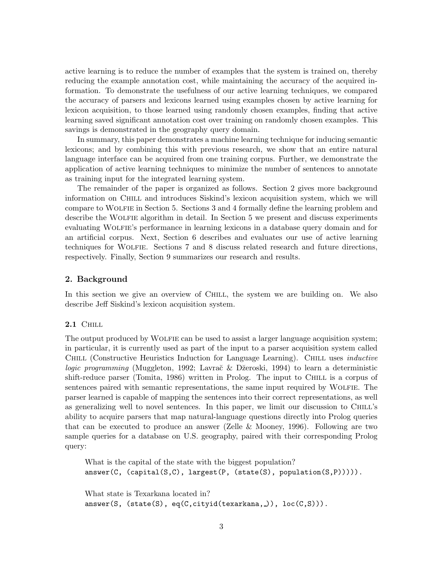active learning is to reduce the number of examples that the system is trained on, thereby reducing the example annotation cost, while maintaining the accuracy of the acquired information. To demonstrate the usefulness of our active learning techniques, we compared the accuracy of parsers and lexicons learned using examples chosen by active learning for lexicon acquisition, to those learned using randomly chosen examples, finding that active learning saved significant annotation cost over training on randomly chosen examples. This savings is demonstrated in the geography query domain.

In summary, this paper demonstrates a machine learning technique for inducing semantic lexicons; and by combining this with previous research, we show that an entire natural language interface can be acquired from one training corpus. Further, we demonstrate the application of active learning techniques to minimize the number of sentences to annotate as training input for the integrated learning system.

The remainder of the paper is organized as follows. Section 2 gives more background information on Chill and introduces Siskind's lexicon acquisition system, which we will compare to Wolfie in Section 5. Sections 3 and 4 formally define the learning problem and describe the WOLFIE algorithm in detail. In Section 5 we present and discuss experiments evaluating Wolfie's performance in learning lexicons in a database query domain and for an artificial corpus. Next, Section 6 describes and evaluates our use of active learning techniques for Wolfie. Sections 7 and 8 discuss related research and future directions, respectively. Finally, Section 9 summarizes our research and results.

# **2. Background**

In this section we give an overview of CHILL, the system we are building on. We also describe Jeff Siskind's lexicon acquisition system.

# **2.1** Chill

The output produced by WOLFIE can be used to assist a larger language acquisition system; in particular, it is currently used as part of the input to a parser acquisition system called Chill (Constructive Heuristics Induction for Language Learning). Chill uses *inductive logic programming* (Muggleton, 1992; Lavrač & Džeroski, 1994) to learn a deterministic shift-reduce parser (Tomita, 1986) written in Prolog. The input to CHILL is a corpus of sentences paired with semantic representations, the same input required by Wolfie. The parser learned is capable of mapping the sentences into their correct representations, as well as generalizing well to novel sentences. In this paper, we limit our discussion to Chill's ability to acquire parsers that map natural-language questions directly into Prolog queries that can be executed to produce an answer (Zelle & Mooney, 1996). Following are two sample queries for a database on U.S. geography, paired with their corresponding Prolog query:

What is the capital of the state with the biggest population?  $answer(C, (capital(S, C), largest(P, (state(S), population(S, P))))).$ 

What state is Texarkana located in?  $answer(S, (state(S), eq(C, cityid(textarkana, )), loc(C, S))).$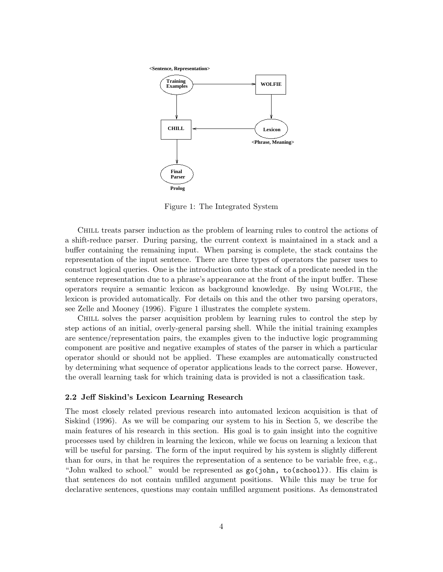**<Sentence, Representation>**



Figure 1: The Integrated System

Chill treats parser induction as the problem of learning rules to control the actions of a shift-reduce parser. During parsing, the current context is maintained in a stack and a buffer containing the remaining input. When parsing is complete, the stack contains the representation of the input sentence. There are three types of operators the parser uses to construct logical queries. One is the introduction onto the stack of a predicate needed in the sentence representation due to a phrase's appearance at the front of the input buffer. These operators require a semantic lexicon as background knowledge. By using Wolfie, the lexicon is provided automatically. For details on this and the other two parsing operators, see Zelle and Mooney (1996). Figure 1 illustrates the complete system.

Chill solves the parser acquisition problem by learning rules to control the step by step actions of an initial, overly-general parsing shell. While the initial training examples are sentence/representation pairs, the examples given to the inductive logic programming component are positive and negative examples of states of the parser in which a particular operator should or should not be applied. These examples are automatically constructed by determining what sequence of operator applications leads to the correct parse. However, the overall learning task for which training data is provided is not a classification task.

# **2.2 Jeff Siskind's Lexicon Learning Research**

The most closely related previous research into automated lexicon acquisition is that of Siskind (1996). As we will be comparing our system to his in Section 5, we describe the main features of his research in this section. His goal is to gain insight into the cognitive processes used by children in learning the lexicon, while we focus on learning a lexicon that will be useful for parsing. The form of the input required by his system is slightly different than for ours, in that he requires the representation of a sentence to be variable free, e.g., "John walked to school." would be represented as go(john, to(school)). His claim is that sentences do not contain unfilled argument positions. While this may be true for declarative sentences, questions may contain unfilled argument positions. As demonstrated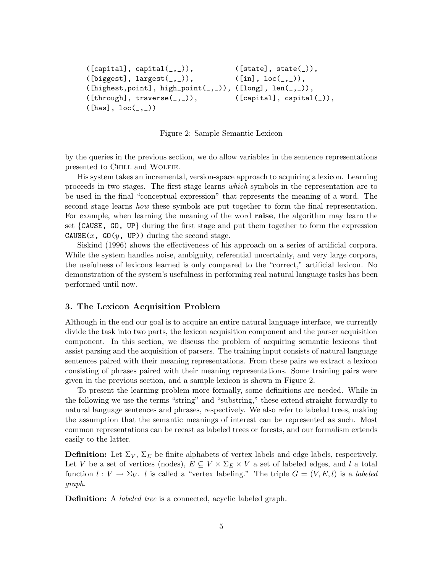```
([capital], capital(\_,\_)), ([state], state()),([biggest], \text{largest}(\_,\_)), ([in], \text{loc}(\_,\_)),([highest, point], high\_point(_,\_)), ([long], len(_,\_)),([through], traverse(_,\_)), ([capital], capital()),
([has], loc(\_,\_)
```
Figure 2: Sample Semantic Lexicon

by the queries in the previous section, we do allow variables in the sentence representations presented to Chill and Wolfie.

His system takes an incremental, version-space approach to acquiring a lexicon. Learning proceeds in two stages. The first stage learns *which* symbols in the representation are to be used in the final "conceptual expression" that represents the meaning of a word. The second stage learns *how* these symbols are put together to form the final representation. For example, when learning the meaning of the word **raise**, the algorithm may learn the set {CAUSE, GO, UP} during the first stage and put them together to form the expression CAUSE(x, GO(y, UP)) during the second stage.

Siskind (1996) shows the effectiveness of his approach on a series of artificial corpora. While the system handles noise, ambiguity, referential uncertainty, and very large corpora, the usefulness of lexicons learned is only compared to the "correct," artificial lexicon. No demonstration of the system's usefulness in performing real natural language tasks has been performed until now.

# **3. The Lexicon Acquisition Problem**

Although in the end our goal is to acquire an entire natural language interface, we currently divide the task into two parts, the lexicon acquisition component and the parser acquisition component. In this section, we discuss the problem of acquiring semantic lexicons that assist parsing and the acquisition of parsers. The training input consists of natural language sentences paired with their meaning representations. From these pairs we extract a lexicon consisting of phrases paired with their meaning representations. Some training pairs were given in the previous section, and a sample lexicon is shown in Figure 2.

To present the learning problem more formally, some definitions are needed. While in the following we use the terms "string" and "substring," these extend straight-forwardly to natural language sentences and phrases, respectively. We also refer to labeled trees, making the assumption that the semantic meanings of interest can be represented as such. Most common representations can be recast as labeled trees or forests, and our formalism extends easily to the latter.

**Definition:** Let  $\Sigma_V$ ,  $\Sigma_E$  be finite alphabets of vertex labels and edge labels, respectively. Let V be a set of vertices (nodes),  $E \subseteq V \times \Sigma_E \times V$  a set of labeled edges, and l a total function  $l: V \to \Sigma_V$ . l is called a "vertex labeling." The triple  $G = (V, E, l)$  is a *labeled graph*.

**Definition:** A *labeled tree* is a connected, acyclic labeled graph.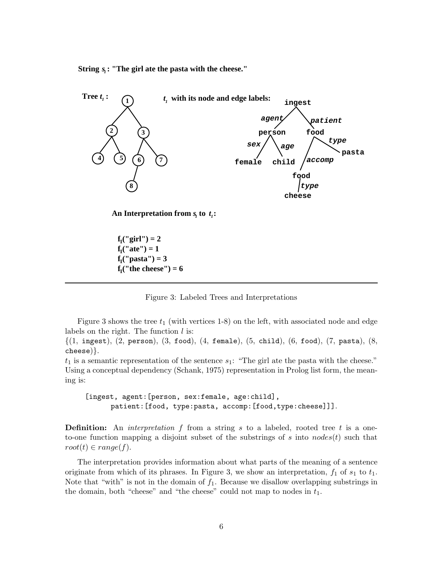String  $s<sub>i</sub>$ : "The girl ate the pasta with the cheese."



 $f_1("girl") = 2$  $f_1("pasta") = 3$  $f_1("the cheese") = 6$  $f_1(''ate'') = 1$ 

Figure 3: Labeled Trees and Interpretations

Figure 3 shows the tree  $t_1$  (with vertices 1-8) on the left, with associated node and edge labels on the right. The function  $l$  is:

 ${(1, \text{ ingest}), (2, \text{ person}), (3, \text{food}), (4, \text{ female}), (5, \text{ child}), (6, \text{food}), (7, \text{past}), (8, \text{food})}$ cheese)}.

 $t_1$  is a semantic representation of the sentence  $s_1$ : "The girl ate the pasta with the cheese." Using a conceptual dependency (Schank, 1975) representation in Prolog list form, the meaning is:

[ingest, agent:[person, sex:female, age:child], patient:[food, type:pasta, accomp:[food,type:cheese]]].

**Definition:** An *interpretation* f from a string s to a labeled, rooted tree t is a oneto-one function mapping a disjoint subset of the substrings of s into nodes(t) such that  $root(t) \in range(f)$ .

The interpretation provides information about what parts of the meaning of a sentence originate from which of its phrases. In Figure 3, we show an interpretation,  $f_1$  of  $s_1$  to  $t_1$ . Note that "with" is not in the domain of  $f_1$ . Because we disallow overlapping substrings in the domain, both "cheese" and "the cheese" could not map to nodes in  $t_1$ .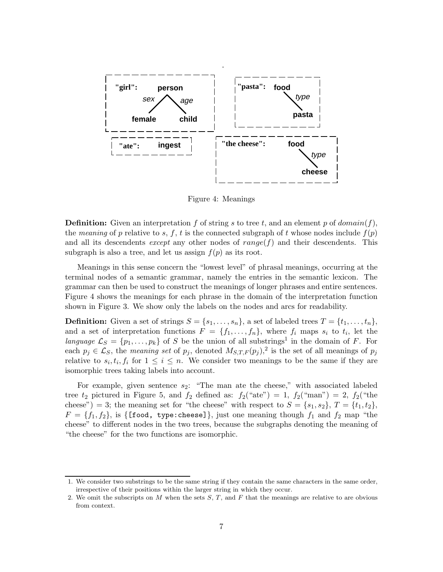

Figure 4: Meanings

**Definition:** Given an interpretation f of string s to tree t, and an element p of  $domain(f)$ , the *meaning* of p relative to s, f, t is the connected subgraph of t whose nodes include  $f(p)$ and all its descendents *except* any other nodes of  $range(f)$  and their descendents. This subgraph is also a tree, and let us assign  $f(p)$  as its root.

Meanings in this sense concern the "lowest level" of phrasal meanings, occurring at the terminal nodes of a semantic grammar, namely the entries in the semantic lexicon. The grammar can then be used to construct the meanings of longer phrases and entire sentences. Figure 4 shows the meanings for each phrase in the domain of the interpretation function shown in Figure 3. We show only the labels on the nodes and arcs for readability.

**Definition:** Given a set of strings  $S = \{s_1, \ldots, s_n\}$ , a set of labeled trees  $T = \{t_1, \ldots, t_n\}$ , and a set of interpretation functions  $F = \{f_1, \ldots, f_n\}$ , where  $f_i$  maps  $s_i$  to  $t_i$ , let the *language*  $\mathcal{L}_S = \{p_1, \ldots, p_k\}$  of S be the union of all substrings<sup>1</sup> in the domain of F. For each  $p_j \in \mathcal{L}_S$ , the *meaning set* of  $p_j$ , denoted  $M_{S,T,F}(p_j)$ , is the set of all meanings of  $p_j$ relative to  $s_i, t_i, f_i$  for  $1 \leq i \leq n$ . We consider two meanings to be the same if they are isomorphic trees taking labels into account.

For example, given sentence  $s_2$ : "The man ate the cheese," with associated labeled tree  $t_2$  pictured in Figure 5, and  $f_2$  defined as:  $f_2$ ("ate") = 1,  $f_2$ ("man") = 2,  $f_2$ ("the cheese") = 3; the meaning set for "the cheese" with respect to  $S = \{s_1, s_2\}, T = \{t_1, t_2\},$  $F = \{f_1, f_2\}$ , is  $\{\text{[food, type: cheese]}\}\$ , just one meaning though  $f_1$  and  $f_2$  map "the cheese" to different nodes in the two trees, because the subgraphs denoting the meaning of "the cheese" for the two functions are isomorphic.

<sup>1.</sup> We consider two substrings to be the same string if they contain the same characters in the same order, irrespective of their positions within the larger string in which they occur.

<sup>2.</sup> We omit the subscripts on  $M$  when the sets  $S, T$ , and  $F$  that the meanings are relative to are obvious from context.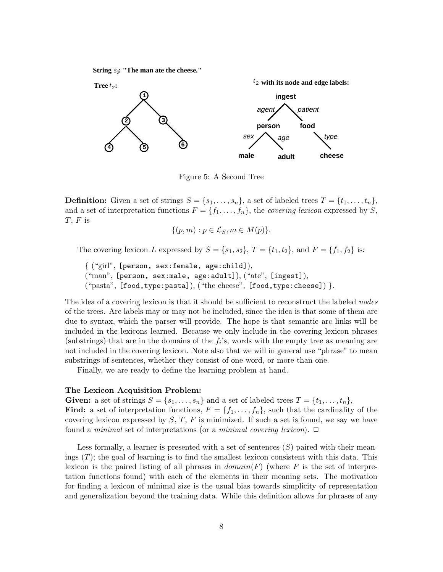String  $s_2$ : "The man ate the cheese."



Figure 5: A Second Tree

**Definition:** Given a set of strings  $S = \{s_1, \ldots, s_n\}$ , a set of labeled trees  $T = \{t_1, \ldots, t_n\}$ , and a set of interpretation functions  $F = \{f_1, \ldots, f_n\}$ , the *covering lexicon* expressed by S,  $T$ ,  $F$  is

$$
\{(p,m):p\in\mathcal{L}_S, m\in M(p)\}.
$$

The covering lexicon L expressed by  $S = \{s_1, s_2\}$ ,  $T = \{t_1, t_2\}$ , and  $F = \{f_1, f_2\}$  is:

```
{ ("girl", [person, sex:female, age:child]),
("man", [person, sex:male, age:adult]), ("ate", [ingest]),
("pasta", [food,type:pasta]), ("the cheese", [food,type:cheese]) }.
```
The idea of a covering lexicon is that it should be sufficient to reconstruct the labeled *nodes* of the trees. Arc labels may or may not be included, since the idea is that some of them are due to syntax, which the parser will provide. The hope is that semantic arc links will be included in the lexicons learned. Because we only include in the covering lexicon phrases (substrings) that are in the domains of the  $f_i$ 's, words with the empty tree as meaning are not included in the covering lexicon. Note also that we will in general use "phrase" to mean substrings of sentences, whether they consist of one word, or more than one.

Finally, we are ready to define the learning problem at hand.

#### **The Lexicon Acquisition Problem:**

**Given:** a set of strings  $S = \{s_1, \ldots, s_n\}$  and a set of labeled trees  $T = \{t_1, \ldots, t_n\}$ , **Find:** a set of interpretation functions,  $F = \{f_1, \ldots, f_n\}$ , such that the cardinality of the covering lexicon expressed by  $S, T, F$  is minimized. If such a set is found, we say we have found a *minimal* set of interpretations (or a *minimal covering lexicon*). □

Less formally, a learner is presented with a set of sentences  $(S)$  paired with their meanings  $(T)$ ; the goal of learning is to find the smallest lexicon consistent with this data. This lexicon is the paired listing of all phrases in  $domain(F)$  (where F is the set of interpretation functions found) with each of the elements in their meaning sets. The motivation for finding a lexicon of minimal size is the usual bias towards simplicity of representation and generalization beyond the training data. While this definition allows for phrases of any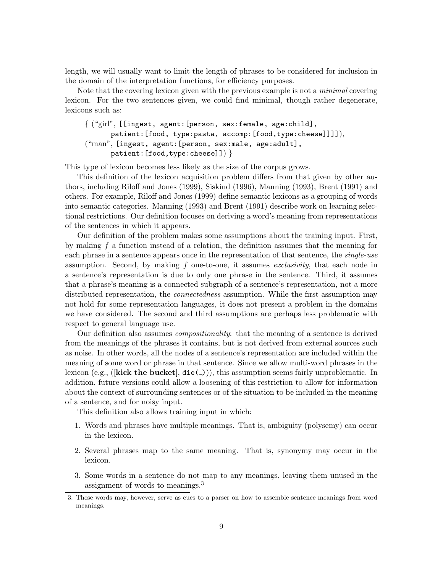length, we will usually want to limit the length of phrases to be considered for inclusion in the domain of the interpretation functions, for efficiency purposes.

Note that the covering lexicon given with the previous example is not a *minimal* covering lexicon. For the two sentences given, we could find minimal, though rather degenerate, lexicons such as:

{ ("girl", [[ingest, agent:[person, sex:female, age:child], patient:[food, type:pasta, accomp:[food,type:cheese]]]]), ("man", [ingest, agent:[person, sex:male, age:adult], patient:[food,type:cheese]]) }

This type of lexicon becomes less likely as the size of the corpus grows.

This definition of the lexicon acquisition problem differs from that given by other authors, including Riloff and Jones (1999), Siskind (1996), Manning (1993), Brent (1991) and others. For example, Riloff and Jones (1999) define semantic lexicons as a grouping of words into semantic categories. Manning (1993) and Brent (1991) describe work on learning selectional restrictions. Our definition focuses on deriving a word's meaning from representations of the sentences in which it appears.

Our definition of the problem makes some assumptions about the training input. First, by making  $f$  a function instead of a relation, the definition assumes that the meaning for each phrase in a sentence appears once in the representation of that sentence, the *single-use* assumption. Second, by making f one-to-one, it assumes *exclusivity*, that each node in a sentence's representation is due to only one phrase in the sentence. Third, it assumes that a phrase's meaning is a connected subgraph of a sentence's representation, not a more distributed representation, the *connectedness* assumption. While the first assumption may not hold for some representation languages, it does not present a problem in the domains we have considered. The second and third assumptions are perhaps less problematic with respect to general language use.

Our definition also assumes *compositionality*: that the meaning of a sentence is derived from the meanings of the phrases it contains, but is not derived from external sources such as noise. In other words, all the nodes of a sentence's representation are included within the meaning of some word or phrase in that sentence. Since we allow multi-word phrases in the lexicon (e.g., ([**kick the bucket**], die( ))), this assumption seems fairly unproblematic. In addition, future versions could allow a loosening of this restriction to allow for information about the context of surrounding sentences or of the situation to be included in the meaning of a sentence, and for noisy input.

This definition also allows training input in which:

- 1. Words and phrases have multiple meanings. That is, ambiguity (polysemy) can occur in the lexicon.
- 2. Several phrases map to the same meaning. That is, synonymy may occur in the lexicon.
- 3. Some words in a sentence do not map to any meanings, leaving them unused in the assignment of words to meanings.<sup>3</sup>

<sup>3.</sup> These words may, however, serve as cues to a parser on how to assemble sentence meanings from word meanings.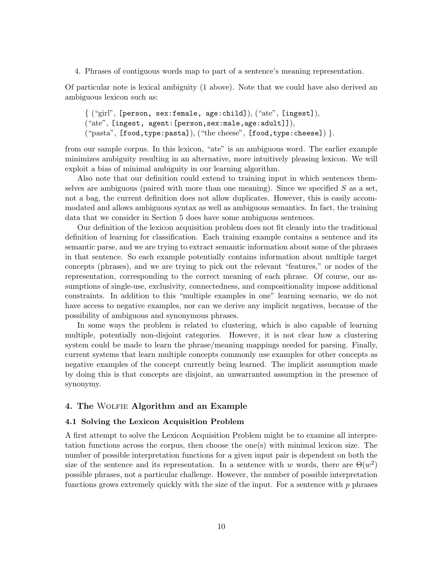4. Phrases of contiguous words map to part of a sentence's meaning representation.

Of particular note is lexical ambiguity (1 above). Note that we could have also derived an ambiguous lexicon such as:

```
{ ("girl", [person, sex:female, age:child]), ("ate", [ingest]),
("ate", [ingest, agent:[person,sex:male,age:adult]]),
("pasta", [food,type:pasta]), ("the cheese", [food,type:cheese]) }.
```
from our sample corpus. In this lexicon, "ate" is an ambiguous word. The earlier example minimizes ambiguity resulting in an alternative, more intuitively pleasing lexicon. We will exploit a bias of minimal ambiguity in our learning algorithm.

Also note that our definition could extend to training input in which sentences themselves are ambiguous (paired with more than one meaning). Since we specified  $S$  as a set, not a bag, the current definition does not allow duplicates. However, this is easily accommodated and allows ambiguous syntax as well as ambiguous semantics. In fact, the training data that we consider in Section 5 does have some ambiguous sentences.

Our definition of the lexicon acquisition problem does not fit cleanly into the traditional definition of learning for classification. Each training example contains a sentence and its semantic parse, and we are trying to extract semantic information about some of the phrases in that sentence. So each example potentially contains information about multiple target concepts (phrases), and we are trying to pick out the relevant "features," or nodes of the representation, corresponding to the correct meaning of each phrase. Of course, our assumptions of single-use, exclusivity, connectedness, and compositionality impose additional constraints. In addition to this "multiple examples in one" learning scenario, we do not have access to negative examples, nor can we derive any implicit negatives, because of the possibility of ambiguous and synonymous phrases.

In some ways the problem is related to clustering, which is also capable of learning multiple, potentially non-disjoint categories. However, it is not clear how a clustering system could be made to learn the phrase/meaning mappings needed for parsing. Finally, current systems that learn multiple concepts commonly use examples for other concepts as negative examples of the concept currently being learned. The implicit assumption made by doing this is that concepts are disjoint, an unwarranted assumption in the presence of synonymy.

# **4. The** Wolfie **Algorithm and an Example**

# **4.1 Solving the Lexicon Acquisition Problem**

A first attempt to solve the Lexicon Acquisition Problem might be to examine all interpretation functions across the corpus, then choose the one(s) with minimal lexicon size. The number of possible interpretation functions for a given input pair is dependent on both the size of the sentence and its representation. In a sentence with w words, there are  $\Theta(w^2)$ possible phrases, not a particular challenge. However, the number of possible interpretation functions grows extremely quickly with the size of the input. For a sentence with  $p$  phrases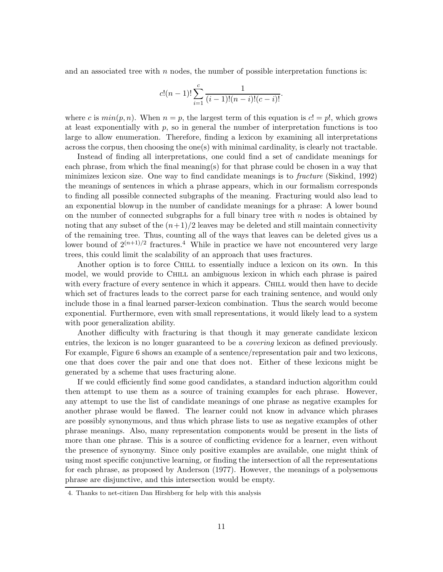and an associated tree with  $n$  nodes, the number of possible interpretation functions is:

$$
c!(n-1)!\sum_{i=1}^{c} \frac{1}{(i-1)!(n-i)!(c-i)!}.
$$

where c is  $min(p, n)$ . When  $n = p$ , the largest term of this equation is  $c! = p!$ , which grows at least exponentially with  $p$ , so in general the number of interpretation functions is too large to allow enumeration. Therefore, finding a lexicon by examining all interpretations across the corpus, then choosing the one $(s)$  with minimal cardinality, is clearly not tractable.

Instead of finding all interpretations, one could find a set of candidate meanings for each phrase, from which the final meaning(s) for that phrase could be chosen in a way that minimizes lexicon size. One way to find candidate meanings is to *fracture* (Siskind, 1992) the meanings of sentences in which a phrase appears, which in our formalism corresponds to finding all possible connected subgraphs of the meaning. Fracturing would also lead to an exponential blowup in the number of candidate meanings for a phrase: A lower bound on the number of connected subgraphs for a full binary tree with  $n$  nodes is obtained by noting that any subset of the  $(n+1)/2$  leaves may be deleted and still maintain connectivity of the remaining tree. Thus, counting all of the ways that leaves can be deleted gives us a lower bound of  $2^{(n+1)/2}$  fractures.<sup>4</sup> While in practice we have not encountered very large trees, this could limit the scalability of an approach that uses fractures.

Another option is to force CHILL to essentially induce a lexicon on its own. In this model, we would provide to Chill an ambiguous lexicon in which each phrase is paired with every fracture of every sentence in which it appears. CHILL would then have to decide which set of fractures leads to the correct parse for each training sentence, and would only include those in a final learned parser-lexicon combination. Thus the search would become exponential. Furthermore, even with small representations, it would likely lead to a system with poor generalization ability.

Another difficulty with fracturing is that though it may generate candidate lexicon entries, the lexicon is no longer guaranteed to be a *covering* lexicon as defined previously. For example, Figure 6 shows an example of a sentence/representation pair and two lexicons, one that does cover the pair and one that does not. Either of these lexicons might be generated by a scheme that uses fracturing alone.

If we could efficiently find some good candidates, a standard induction algorithm could then attempt to use them as a source of training examples for each phrase. However, any attempt to use the list of candidate meanings of one phrase as negative examples for another phrase would be flawed. The learner could not know in advance which phrases are possibly synonymous, and thus which phrase lists to use as negative examples of other phrase meanings. Also, many representation components would be present in the lists of more than one phrase. This is a source of conflicting evidence for a learner, even without the presence of synonymy. Since only positive examples are available, one might think of using most specific conjunctive learning, or finding the intersection of all the representations for each phrase, as proposed by Anderson (1977). However, the meanings of a polysemous phrase are disjunctive, and this intersection would be empty.

<sup>4.</sup> Thanks to net-citizen Dan Hirshberg for help with this analysis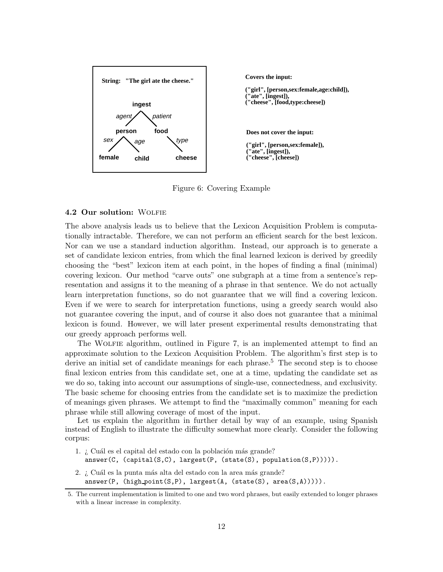

Figure 6: Covering Example

#### **4.2 Our solution:** Wolfie

The above analysis leads us to believe that the Lexicon Acquisition Problem is computationally intractable. Therefore, we can not perform an efficient search for the best lexicon. Nor can we use a standard induction algorithm. Instead, our approach is to generate a set of candidate lexicon entries, from which the final learned lexicon is derived by greedily choosing the "best" lexicon item at each point, in the hopes of finding a final (minimal) covering lexicon. Our method "carve outs" one subgraph at a time from a sentence's representation and assigns it to the meaning of a phrase in that sentence. We do not actually learn interpretation functions, so do not guarantee that we will find a covering lexicon. Even if we were to search for interpretation functions, using a greedy search would also not guarantee covering the input, and of course it also does not guarantee that a minimal lexicon is found. However, we will later present experimental results demonstrating that our greedy approach performs well.

The WOLFIE algorithm, outlined in Figure 7, is an implemented attempt to find an approximate solution to the Lexicon Acquisition Problem. The algorithm's first step is to derive an initial set of candidate meanings for each phrase.<sup>5</sup> The second step is to choose final lexicon entries from this candidate set, one at a time, updating the candidate set as we do so, taking into account our assumptions of single-use, connectedness, and exclusivity. The basic scheme for choosing entries from the candidate set is to maximize the prediction of meanings given phrases. We attempt to find the "maximally common" meaning for each phrase while still allowing coverage of most of the input.

Let us explain the algorithm in further detail by way of an example, using Spanish instead of English to illustrate the difficulty somewhat more clearly. Consider the following corpus:

- 1. ¿ Cuál es el capital del estado con la población más grande?  $answer(C, (capital(S, C), largest(P, (state(S), population(S, P))))).$
- 2. ¿ Cuál es la punta más alta del estado con la area más grande?  $answer(P, (high-point(S, P), largest(A, (state(S), area(S, A))))).$

<sup>5.</sup> The current implementation is limited to one and two word phrases, but easily extended to longer phrases with a linear increase in complexity.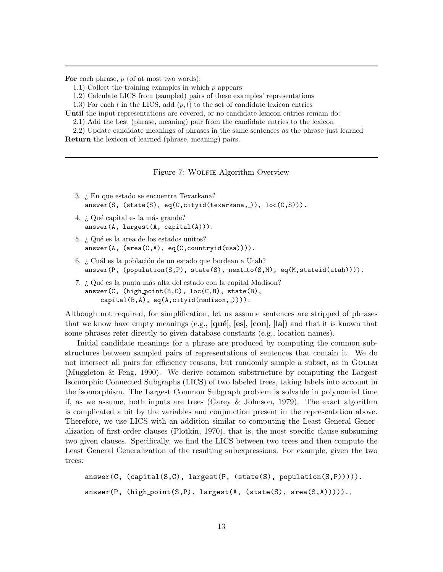For each phrase, p (of at most two words):

- 1.1) Collect the training examples in which p appears
- 1.2) Calculate LICS from (sampled) pairs of these examples' representations
- 1.3) For each l in the LICS, add  $(p, l)$  to the set of candidate lexicon entries
- **Until** the input representations are covered, or no candidate lexicon entries remain do:
	- 2.1) Add the best (phrase, meaning) pair from the candidate entries to the lexicon
- 2.2) Update candidate meanings of phrases in the same sentences as the phrase just learned **Return** the lexicon of learned (phrase, meaning) pairs.

Figure 7: WOLFIE Algorithm Overview

- 3. ¿ En que estado se encuentra Texarkana?  $answer(S, (state(S), eq(C, cityid(textarkana, )), loc(C, S))).$
- 4. ¿ Qué capital es la más grande?  $answer(A, largest(A, capital(A))).$
- 5. *i* Qué es la area de los estados unitos?  $answer(A, (area(C, A), eq(C, countryid(usa))))$ .
- 6. ¿ Cuál es la población de un estado que bordean a Utah?  $answer(P, (population(S, P), state(S), next_to(S, M), eq(M, stateid(utah))))$ .
- 7. ¿ Qué es la punta más alta del estado con la capital Madison?  $answer(C, (high-point(B,C), loc(C,B), state(B)),$ capital(B,A), eq(A,cityid(madison, )))).

Although not required, for simplification, let us assume sentences are stripped of phrases that we know have empty meanings (e.g.,  $[\mathbf{q}\mathbf{u}\hat{\mathbf{e}}]$ ,  $[\mathbf{e}\mathbf{s}]$ ,  $[\mathbf{c}\mathbf{o}\mathbf{n}]$ ,  $[\mathbf{la}]$ ) and that it is known that some phrases refer directly to given database constants (e.g., location names).

Initial candidate meanings for a phrase are produced by computing the common substructures between sampled pairs of representations of sentences that contain it. We do not intersect all pairs for efficiency reasons, but randomly sample a subset, as in Golem (Muggleton & Feng, 1990). We derive common substructure by computing the Largest Isomorphic Connected Subgraphs (LICS) of two labeled trees, taking labels into account in the isomorphism. The Largest Common Subgraph problem is solvable in polynomial time if, as we assume, both inputs are trees (Garey & Johnson, 1979). The exact algorithm is complicated a bit by the variables and conjunction present in the representation above. Therefore, we use LICS with an addition similar to computing the Least General Generalization of first-order clauses (Plotkin, 1970), that is, the most specific clause subsuming two given clauses. Specifically, we find the LICS between two trees and then compute the Least General Generalization of the resulting subexpressions. For example, given the two trees:

```
answer(C, (capital(S, C), largest(P, (state(S), population(S, P))))).answer(P, (high_point(S,P), largest(A, (state(S), area(S,A))))).,
```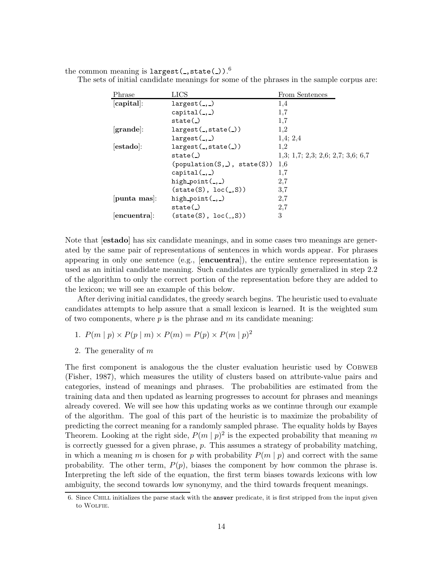the common meaning is  $\mathtt{largest}(\_,\mathtt{state}(\_) )$  . $^6$ 

|  | The sets of initial candidate meanings for some of the phrases in the sample corpus are: |  |  |  |  |  |  |
|--|------------------------------------------------------------------------------------------|--|--|--|--|--|--|
|  |                                                                                          |  |  |  |  |  |  |

| Phrase             | LICS                                  | From Sentences                    |  |  |  |  |
|--------------------|---------------------------------------|-----------------------------------|--|--|--|--|
| [capital]:         | $largest(\_,\_)$                      | 1,4                               |  |  |  |  |
|                    | $capital($ )                          | 1,7                               |  |  |  |  |
|                    | state()                               | 1,7                               |  |  |  |  |
| grande:            | largest(.state() )                    | 1,2                               |  |  |  |  |
|                    | largest(.,)                           | 1,4;2,4                           |  |  |  |  |
| $[{\bf estado}]$ : | largest(.state() )                    | 1,2                               |  |  |  |  |
|                    | state()                               | 1,3; 1,7; 2,3; 2,6; 2,7; 3,6; 6,7 |  |  |  |  |
|                    | (population(S, .), state(S))          | 1.6                               |  |  |  |  |
|                    | $capital(\_,\_)$                      | 1,7                               |  |  |  |  |
|                    | high point $($ , $)$                  | 2,7                               |  |  |  |  |
|                    | $(\text{state}(S), \text{loc}(\_,S))$ | 3,7                               |  |  |  |  |
| punta mas:         | high $point($ , $)$                   | 2,7                               |  |  |  |  |
|                    | state()                               | 2,7                               |  |  |  |  |
| $ encuentra $ :    | $(\text{state}(S), \text{loc}(\_,S))$ | 3                                 |  |  |  |  |

Note that [**estado**] has six candidate meanings, and in some cases two meanings are generated by the same pair of representations of sentences in which words appear. For phrases appearing in only one sentence (e.g., [**encuentra**]), the entire sentence representation is used as an initial candidate meaning. Such candidates are typically generalized in step 2.2 of the algorithm to only the correct portion of the representation before they are added to the lexicon; we will see an example of this below.

After deriving initial candidates, the greedy search begins. The heuristic used to evaluate candidates attempts to help assure that a small lexicon is learned. It is the weighted sum of two components, where  $p$  is the phrase and  $m$  its candidate meaning:

- 1.  $P(m | p) \times P(p | m) \times P(m) = P(p) \times P(m | p)^2$
- 2. The generality of m

The first component is analogous the the cluster evaluation heuristic used by COBWEB (Fisher, 1987), which measures the utility of clusters based on attribute-value pairs and categories, instead of meanings and phrases. The probabilities are estimated from the training data and then updated as learning progresses to account for phrases and meanings already covered. We will see how this updating works as we continue through our example of the algorithm. The goal of this part of the heuristic is to maximize the probability of predicting the correct meaning for a randomly sampled phrase. The equality holds by Bayes Theorem. Looking at the right side,  $P(m | p)^2$  is the expected probability that meaning m is correctly guessed for a given phrase,  $p$ . This assumes a strategy of probability matching, in which a meaning m is chosen for p with probability  $P(m | p)$  and correct with the same probability. The other term,  $P(p)$ , biases the component by how common the phrase is. Interpreting the left side of the equation, the first term biases towards lexicons with low ambiguity, the second towards low synonymy, and the third towards frequent meanings.

<sup>6.</sup> Since Chill initializes the parse stack with the answer predicate, it is first stripped from the input given to WOLFIE.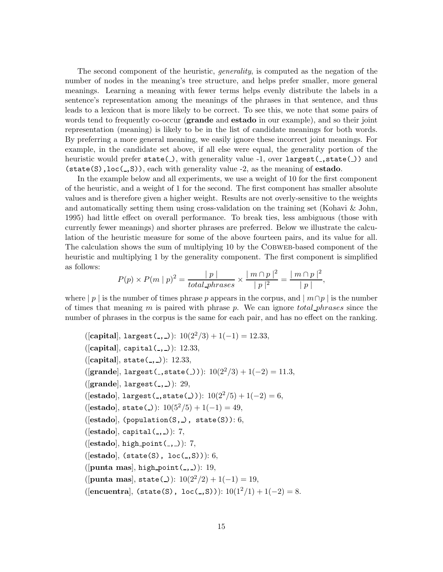The second component of the heuristic, *generality*, is computed as the negation of the number of nodes in the meaning's tree structure, and helps prefer smaller, more general meanings. Learning a meaning with fewer terms helps evenly distribute the labels in a sentence's representation among the meanings of the phrases in that sentence, and thus leads to a lexicon that is more likely to be correct. To see this, we note that some pairs of words tend to frequently co-occur (**grande** and **estado** in our example), and so their joint representation (meaning) is likely to be in the list of candidate meanings for both words. By preferring a more general meaning, we easily ignore these incorrect joint meanings. For example, in the candidate set above, if all else were equal, the generality portion of the heuristic would prefer state( $\Box$ ), with generality value  $-1$ , over largest( $\Box$ , state( $\Box$ ) and (state(S),loc( ,S)), each with generality value -2, as the meaning of **estado**.

In the example below and all experiments, we use a weight of 10 for the first component of the heuristic, and a weight of 1 for the second. The first component has smaller absolute values and is therefore given a higher weight. Results are not overly-sensitive to the weights and automatically setting them using cross-validation on the training set (Kohavi & John, 1995) had little effect on overall performance. To break ties, less ambiguous (those with currently fewer meanings) and shorter phrases are preferred. Below we illustrate the calculation of the heuristic measure for some of the above fourteen pairs, and its value for all. The calculation shows the sum of multiplying 10 by the COBWEB-based component of the heuristic and multiplying 1 by the generality component. The first component is simplified as follows:

$$
P(p) \times P(m | p)^2 = \frac{|p|}{total\_{phrases}} \times \frac{|m \cap p|^2}{|p|^2} = \frac{|m \cap p|^2}{|p|},
$$

where | p | is the number of times phrase p appears in the corpus, and  $\mid m \cap p \mid$  is the number of times that meaning m is paired with phrase p. We can ignore total phrases since the number of phrases in the corpus is the same for each pair, and has no effect on the ranking.

 $([capital], \text{largest}(\_, \_)): 10(2^2/3) + 1(-1) = 12.33,$ ([**capital**], capital(...)): 12.33,  $([capital], state(_, _).): 12.33,$ ([grande], largest(\_,state(\_))):  $10(2^2/3) + 1(-2) = 11.3$ , ([grande], largest(.,.)): 29,  $([{\bf estado}], {\tt largest}(\_,{\tt state}(\_))): 10(2^2/5) + 1(-2) = 6,$  $([{\bf estado}], {\bf state} (\_)): 10(5^2/5) + 1(-1) = 49,$  $([estado], (population(S, \_), state(S))$ : 6, ([estado], capital(,,)): 7, ([**estado**], high point( , )): 7, (**[estado**], (state(S), loc(\_,S))): 6, ([**punta mas**], high point( , )): 19, ([**punta mas**], state(\_)):  $10(2^2/2) + 1(-1) = 19$ ,  $([encuentral], (state(S), loc(., S))): 10(1<sup>2</sup>/1) + 1(-2) = 8.$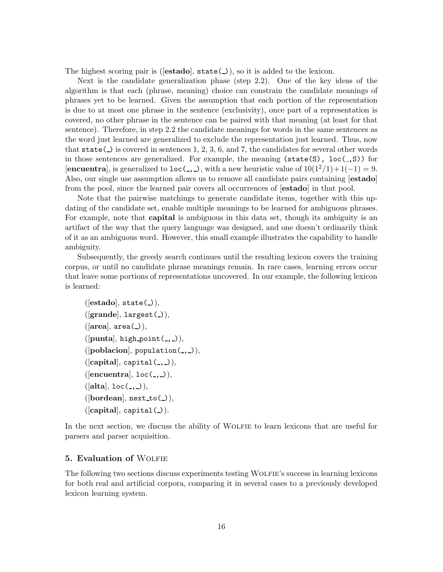The highest scoring pair is ([**estado**], state(\_)), so it is added to the lexicon.

Next is the candidate generalization phase (step 2.2). One of the key ideas of the algorithm is that each (phrase, meaning) choice can constrain the candidate meanings of phrases yet to be learned. Given the assumption that each portion of the representation is due to at most one phrase in the sentence (exclusivity), once part of a representation is covered, no other phrase in the sentence can be paired with that meaning (at least for that sentence). Therefore, in step 2.2 the candidate meanings for words in the same sentences as the word just learned are generalized to exclude the representation just learned. Thus, now that state( $\Box$ ) is covered in sentences 1, 2, 3, 6, and 7, the candidates for several other words in those sentences are generalized. For example, the meaning  $(\text{state}(S), \text{loc}(-,S))$  for [**encuentra**], is generalized to  $\text{loc}(\_$ ,  $\_)$ , with a new heuristic value of  $10(1^2/1)+1(-1) = 9$ . Also, our single use assumption allows us to remove all candidate pairs containing [**estado**] from the pool, since the learned pair covers all occurrences of [**estado**] in that pool.

Note that the pairwise matchings to generate candidate items, together with this updating of the candidate set, enable multiple meanings to be learned for ambiguous phrases. For example, note that **capital** is ambiguous in this data set, though its ambiguity is an artifact of the way that the query language was designed, and one doesn't ordinarily think of it as an ambiguous word. However, this small example illustrates the capability to handle ambiguity.

Subsequently, the greedy search continues until the resulting lexicon covers the training corpus, or until no candidate phrase meanings remain. In rare cases, learning errors occur that leave some portions of representations uncovered. In our example, the following lexicon is learned:

```
([estado], state( )),
([grande], largest( )),
([area], area()),([punta], high-point(., .)),([poblacion], population(1, 1)),([\text{capital}], \text{ capital}(\_,\_)),([encuentra], loc(\_,\_)),([alta], loc(\_,\_)),([border], next_to(1)),([\text{capital}], \text{ capital}(.)).
```
In the next section, we discuss the ability of WOLFIE to learn lexicons that are useful for parsers and parser acquisition.

### **5. Evaluation of WOLFIE**

The following two sections discuss experiments testing WOLFIE's success in learning lexicons for both real and artificial corpora, comparing it in several cases to a previously developed lexicon learning system.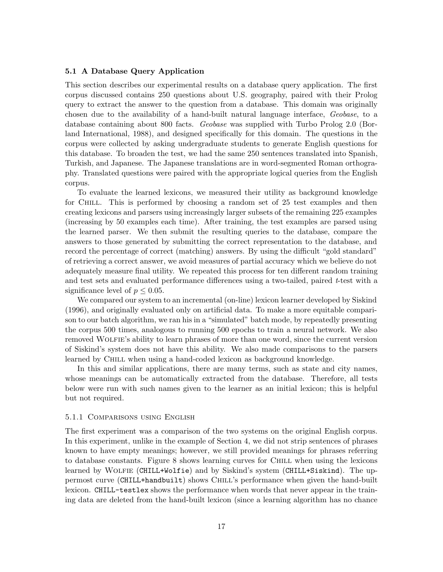# **5.1 A Database Query Application**

This section describes our experimental results on a database query application. The first corpus discussed contains 250 questions about U.S. geography, paired with their Prolog query to extract the answer to the question from a database. This domain was originally chosen due to the availability of a hand-built natural language interface, *Geobase*, to a database containing about 800 facts. *Geobase* was supplied with Turbo Prolog 2.0 (Borland International, 1988), and designed specifically for this domain. The questions in the corpus were collected by asking undergraduate students to generate English questions for this database. To broaden the test, we had the same 250 sentences translated into Spanish, Turkish, and Japanese. The Japanese translations are in word-segmented Roman orthography. Translated questions were paired with the appropriate logical queries from the English corpus.

To evaluate the learned lexicons, we measured their utility as background knowledge for Chill. This is performed by choosing a random set of 25 test examples and then creating lexicons and parsers using increasingly larger subsets of the remaining 225 examples (increasing by 50 examples each time). After training, the test examples are parsed using the learned parser. We then submit the resulting queries to the database, compare the answers to those generated by submitting the correct representation to the database, and record the percentage of correct (matching) answers. By using the difficult "gold standard" of retrieving a correct answer, we avoid measures of partial accuracy which we believe do not adequately measure final utility. We repeated this process for ten different random training and test sets and evaluated performance differences using a two-tailed, paired *t*-test with a significance level of  $p \leq 0.05$ .

We compared our system to an incremental (on-line) lexicon learner developed by Siskind (1996), and originally evaluated only on artificial data. To make a more equitable comparison to our batch algorithm, we ran his in a "simulated" batch mode, by repeatedly presenting the corpus 500 times, analogous to running 500 epochs to train a neural network. We also removed WOLFIE's ability to learn phrases of more than one word, since the current version of Siskind's system does not have this ability. We also made comparisons to the parsers learned by Chill when using a hand-coded lexicon as background knowledge.

In this and similar applications, there are many terms, such as state and city names, whose meanings can be automatically extracted from the database. Therefore, all tests below were run with such names given to the learner as an initial lexicon; this is helpful but not required.

#### 5.1.1 Comparisons using English

The first experiment was a comparison of the two systems on the original English corpus. In this experiment, unlike in the example of Section 4, we did not strip sentences of phrases known to have empty meanings; however, we still provided meanings for phrases referring to database constants. Figure 8 shows learning curves for Chill when using the lexicons learned by WOLFIE (CHILL+Wolfie) and by Siskind's system (CHILL+Siskind). The uppermost curve (CHILL+handbuilt) shows Chill's performance when given the hand-built lexicon. CHILL-testlex shows the performance when words that never appear in the training data are deleted from the hand-built lexicon (since a learning algorithm has no chance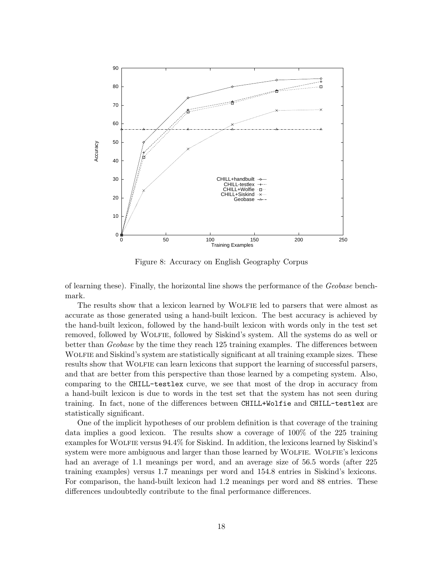

Figure 8: Accuracy on English Geography Corpus

of learning these). Finally, the horizontal line shows the performance of the *Geobase* benchmark.

The results show that a lexicon learned by WOLFIE led to parsers that were almost as accurate as those generated using a hand-built lexicon. The best accuracy is achieved by the hand-built lexicon, followed by the hand-built lexicon with words only in the test set removed, followed by Wolfie, followed by Siskind's system. All the systems do as well or better than *Geobase* by the time they reach 125 training examples. The differences between WOLFIE and Siskind's system are statistically significant at all training example sizes. These results show that WOLFIE can learn lexicons that support the learning of successful parsers, and that are better from this perspective than those learned by a competing system. Also, comparing to the CHILL-testlex curve, we see that most of the drop in accuracy from a hand-built lexicon is due to words in the test set that the system has not seen during training. In fact, none of the differences between CHILL+Wolfie and CHILL-testlex are statistically significant.

One of the implicit hypotheses of our problem definition is that coverage of the training data implies a good lexicon. The results show a coverage of 100% of the 225 training examples for WOLFIE versus 94.4% for Siskind. In addition, the lexicons learned by Siskind's system were more ambiguous and larger than those learned by WOLFIE. WOLFIE's lexicons had an average of 1.1 meanings per word, and an average size of 56.5 words (after 225 training examples) versus 1.7 meanings per word and 154.8 entries in Siskind's lexicons. For comparison, the hand-built lexicon had 1.2 meanings per word and 88 entries. These differences undoubtedly contribute to the final performance differences.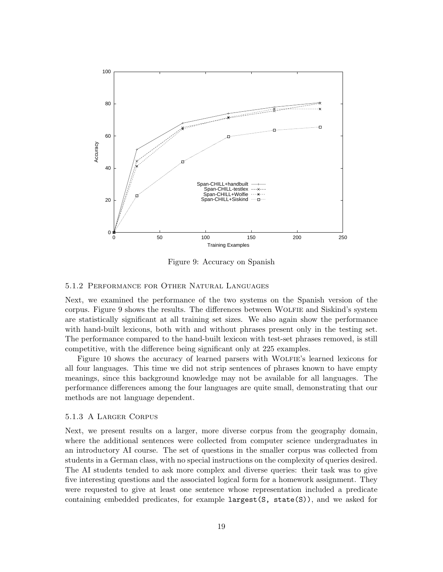

Figure 9: Accuracy on Spanish

# 5.1.2 Performance for Other Natural Languages

Next, we examined the performance of the two systems on the Spanish version of the corpus. Figure 9 shows the results. The differences between WOLFIE and Siskind's system are statistically significant at all training set sizes. We also again show the performance with hand-built lexicons, both with and without phrases present only in the testing set. The performance compared to the hand-built lexicon with test-set phrases removed, is still competitive, with the difference being significant only at 225 examples.

Figure 10 shows the accuracy of learned parsers with WOLFIE's learned lexicons for all four languages. This time we did not strip sentences of phrases known to have empty meanings, since this background knowledge may not be available for all languages. The performance differences among the four languages are quite small, demonstrating that our methods are not language dependent.

# 5.1.3 A Larger Corpus

Next, we present results on a larger, more diverse corpus from the geography domain, where the additional sentences were collected from computer science undergraduates in an introductory AI course. The set of questions in the smaller corpus was collected from students in a German class, with no special instructions on the complexity of queries desired. The AI students tended to ask more complex and diverse queries: their task was to give five interesting questions and the associated logical form for a homework assignment. They were requested to give at least one sentence whose representation included a predicate containing embedded predicates, for example  $largest(S, state(S))$ , and we asked for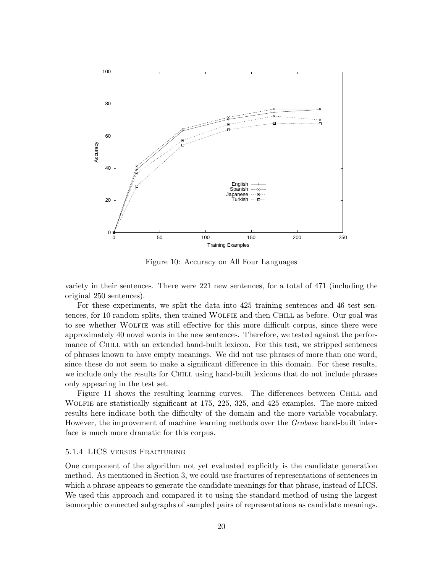

Figure 10: Accuracy on All Four Languages

variety in their sentences. There were 221 new sentences, for a total of 471 (including the original 250 sentences).

For these experiments, we split the data into 425 training sentences and 46 test sentences, for 10 random splits, then trained Wolfie and then Chill as before. Our goal was to see whether WOLFIE was still effective for this more difficult corpus, since there were approximately 40 novel words in the new sentences. Therefore, we tested against the performance of CHILL with an extended hand-built lexicon. For this test, we stripped sentences of phrases known to have empty meanings. We did not use phrases of more than one word, since these do not seem to make a significant difference in this domain. For these results, we include only the results for CHILL using hand-built lexicons that do not include phrases only appearing in the test set.

Figure 11 shows the resulting learning curves. The differences between Chill and Wolfie are statistically significant at 175, 225, 325, and 425 examples. The more mixed results here indicate both the difficulty of the domain and the more variable vocabulary. However, the improvement of machine learning methods over the *Geobase* hand-built interface is much more dramatic for this corpus.

# 5.1.4 LICS versus Fracturing

One component of the algorithm not yet evaluated explicitly is the candidate generation method. As mentioned in Section 3, we could use fractures of representations of sentences in which a phrase appears to generate the candidate meanings for that phrase, instead of LICS. We used this approach and compared it to using the standard method of using the largest isomorphic connected subgraphs of sampled pairs of representations as candidate meanings.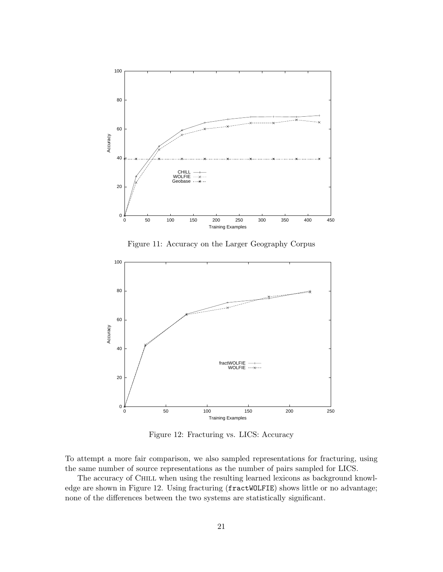

Figure 11: Accuracy on the Larger Geography Corpus



Figure 12: Fracturing vs. LICS: Accuracy

To attempt a more fair comparison, we also sampled representations for fracturing, using the same number of source representations as the number of pairs sampled for LICS.

The accuracy of CHILL when using the resulting learned lexicons as background knowledge are shown in Figure 12. Using fracturing (fractWOLFIE) shows little or no advantage; none of the differences between the two systems are statistically significant.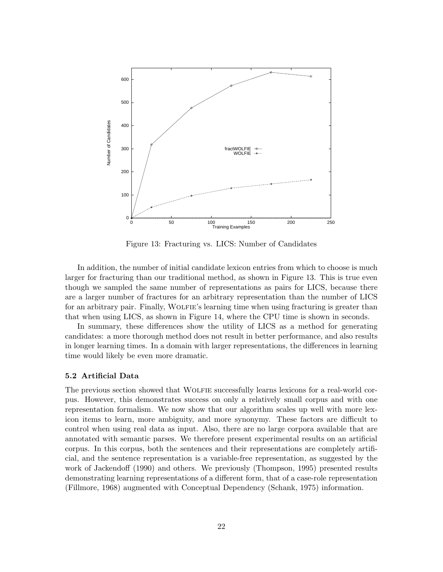

Figure 13: Fracturing vs. LICS: Number of Candidates

In addition, the number of initial candidate lexicon entries from which to choose is much larger for fracturing than our traditional method, as shown in Figure 13. This is true even though we sampled the same number of representations as pairs for LICS, because there are a larger number of fractures for an arbitrary representation than the number of LICS for an arbitrary pair. Finally, WOLFIE's learning time when using fracturing is greater than that when using LICS, as shown in Figure 14, where the CPU time is shown in seconds.

In summary, these differences show the utility of LICS as a method for generating candidates: a more thorough method does not result in better performance, and also results in longer learning times. In a domain with larger representations, the differences in learning time would likely be even more dramatic.

# **5.2 Artificial Data**

The previous section showed that WOLFIE successfully learns lexicons for a real-world corpus. However, this demonstrates success on only a relatively small corpus and with one representation formalism. We now show that our algorithm scales up well with more lexicon items to learn, more ambiguity, and more synonymy. These factors are difficult to control when using real data as input. Also, there are no large corpora available that are annotated with semantic parses. We therefore present experimental results on an artificial corpus. In this corpus, both the sentences and their representations are completely artificial, and the sentence representation is a variable-free representation, as suggested by the work of Jackendoff (1990) and others. We previously (Thompson, 1995) presented results demonstrating learning representations of a different form, that of a case-role representation (Fillmore, 1968) augmented with Conceptual Dependency (Schank, 1975) information.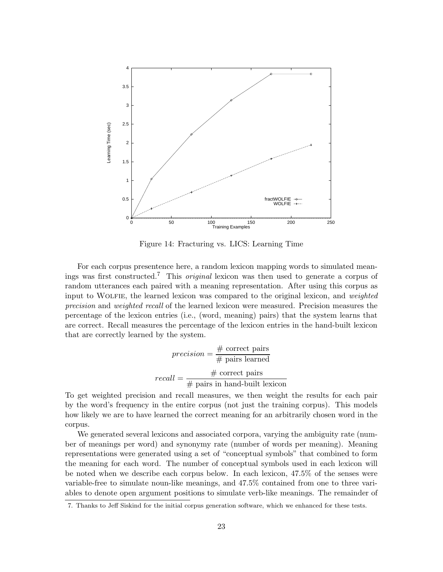

Figure 14: Fracturing vs. LICS: Learning Time

For each corpus presentence here, a random lexicon mapping words to simulated meanings was first constructed.<sup>7</sup> This *original* lexicon was then used to generate a corpus of random utterances each paired with a meaning representation. After using this corpus as input to WOLFIE, the learned lexicon was compared to the original lexicon, and *weighted precision* and *weighted recall* of the learned lexicon were measured. Precision measures the percentage of the lexicon entries (i.e., (word, meaning) pairs) that the system learns that are correct. Recall measures the percentage of the lexicon entries in the hand-built lexicon that are correctly learned by the system.

$$
precision = \frac{\# \text{ correct pairs}}{\# \text{ pairs learned}}
$$

$$
recall = \frac{\# \text{ correct pairs}}{\# \text{ pairs in hand-built lexicon}}
$$

To get weighted precision and recall measures, we then weight the results for each pair by the word's frequency in the entire corpus (not just the training corpus). This models how likely we are to have learned the correct meaning for an arbitrarily chosen word in the corpus.

We generated several lexicons and associated corpora, varying the ambiguity rate (number of meanings per word) and synonymy rate (number of words per meaning). Meaning representations were generated using a set of "conceptual symbols" that combined to form the meaning for each word. The number of conceptual symbols used in each lexicon will be noted when we describe each corpus below. In each lexicon, 47.5% of the senses were variable-free to simulate noun-like meanings, and 47.5% contained from one to three variables to denote open argument positions to simulate verb-like meanings. The remainder of

<sup>7.</sup> Thanks to Jeff Siskind for the initial corpus generation software, which we enhanced for these tests.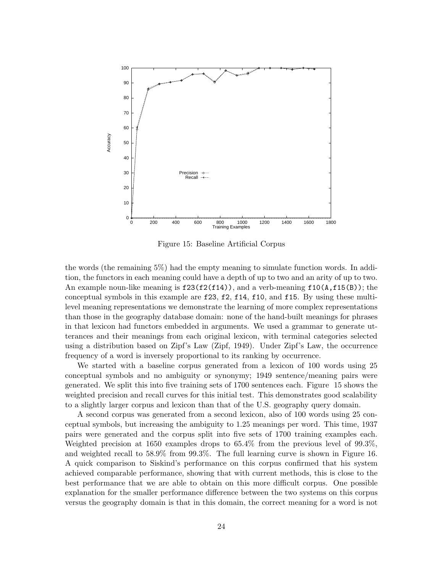

Figure 15: Baseline Artificial Corpus

the words (the remaining 5%) had the empty meaning to simulate function words. In addition, the functors in each meaning could have a depth of up to two and an arity of up to two. An example noun-like meaning is  $f23(f2(f14))$ , and a verb-meaning  $f10(A, f15(B))$ ; the conceptual symbols in this example are f23, f2, f14, f10, and f15. By using these multilevel meaning representations we demonstrate the learning of more complex representations than those in the geography database domain: none of the hand-built meanings for phrases in that lexicon had functors embedded in arguments. We used a grammar to generate utterances and their meanings from each original lexicon, with terminal categories selected using a distribution based on Zipf's Law (Zipf, 1949). Under Zipf's Law, the occurrence frequency of a word is inversely proportional to its ranking by occurrence.

We started with a baseline corpus generated from a lexicon of 100 words using 25 conceptual symbols and no ambiguity or synonymy; 1949 sentence/meaning pairs were generated. We split this into five training sets of 1700 sentences each. Figure 15 shows the weighted precision and recall curves for this initial test. This demonstrates good scalability to a slightly larger corpus and lexicon than that of the U.S. geography query domain.

A second corpus was generated from a second lexicon, also of 100 words using 25 conceptual symbols, but increasing the ambiguity to 1.25 meanings per word. This time, 1937 pairs were generated and the corpus split into five sets of 1700 training examples each. Weighted precision at 1650 examples drops to 65.4% from the previous level of 99.3%, and weighted recall to 58.9% from 99.3%. The full learning curve is shown in Figure 16. A quick comparison to Siskind's performance on this corpus confirmed that his system achieved comparable performance, showing that with current methods, this is close to the best performance that we are able to obtain on this more difficult corpus. One possible explanation for the smaller performance difference between the two systems on this corpus versus the geography domain is that in this domain, the correct meaning for a word is not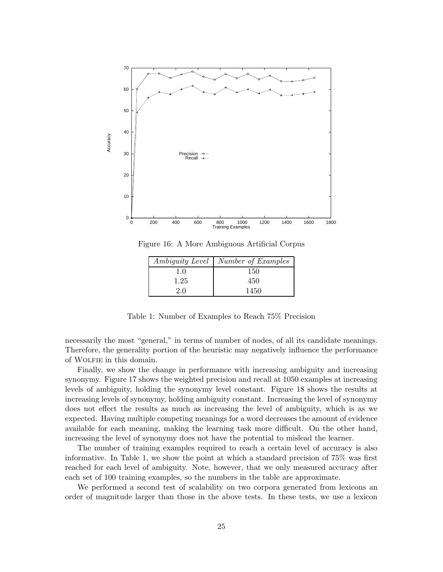

Figure 16: A More Ambiguous Artificial Corpus

| <i>Ambiguity Level</i> | Number of Examples |
|------------------------|--------------------|
| 1.0                    | 150                |
| 1.25                   | 450                |
| 2.0                    | 1450               |

Table 1: Number of Examples to Reach 75% Precision

necessarily the most "general," in terms of number of nodes, of all its candidate meanings. Therefore, the generality portion of the heuristic may negatively influence the performance of Wolfie in this domain.

Finally, we show the change in performance with increasing ambiguity and increasing synonymy. Figure 17 shows the weighted precision and recall at 1050 examples at increasing levels of ambiguity, holding the synonymy level constant. Figure 18 shows the results at increasing levels of synonymy, holding ambiguity constant. Increasing the level of synonymy does not effect the results as much as increasing the level of ambiguity, which is as we expected. Having multiple competing meanings for a word decreases the amount of evidence available for each meaning, making the learning task more difficult. On the other hand, increasing the level of synonymy does not have the potential to mislead the learner.

The number of training examples required to reach a certain level of accuracy is also informative. In Table 1, we show the point at which a standard precision of 75% was first reached for each level of ambiguity. Note, however, that we only measured accuracy after each set of 100 training examples, so the numbers in the table are approximate.

We performed a second test of scalability on two corpora generated from lexicons an order of magnitude larger than those in the above tests. In these tests, we use a lexicon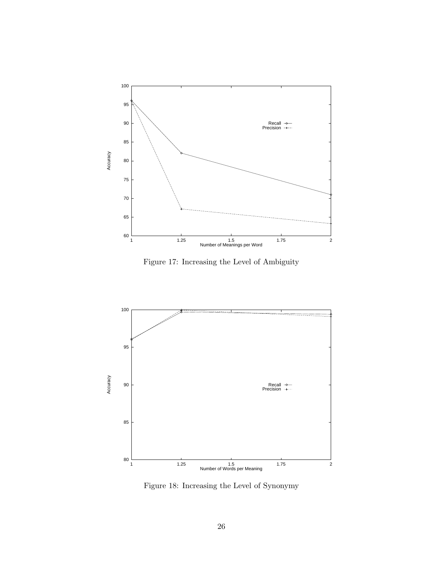

Figure 17: Increasing the Level of Ambiguity



Figure 18: Increasing the Level of Synonymy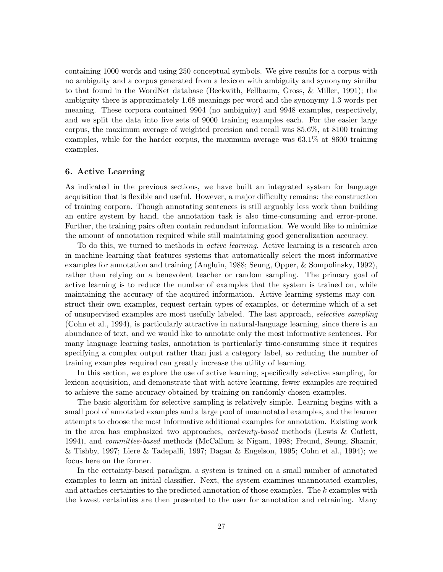containing 1000 words and using 250 conceptual symbols. We give results for a corpus with no ambiguity and a corpus generated from a lexicon with ambiguity and synonymy similar to that found in the WordNet database (Beckwith, Fellbaum, Gross, & Miller, 1991); the ambiguity there is approximately 1.68 meanings per word and the synonymy 1.3 words per meaning. These corpora contained 9904 (no ambiguity) and 9948 examples, respectively, and we split the data into five sets of 9000 training examples each. For the easier large corpus, the maximum average of weighted precision and recall was 85.6%, at 8100 training examples, while for the harder corpus, the maximum average was 63.1% at 8600 training examples.

# **6. Active Learning**

As indicated in the previous sections, we have built an integrated system for language acquisition that is flexible and useful. However, a major difficulty remains: the construction of training corpora. Though annotating sentences is still arguably less work than building an entire system by hand, the annotation task is also time-consuming and error-prone. Further, the training pairs often contain redundant information. We would like to minimize the amount of annotation required while still maintaining good generalization accuracy.

To do this, we turned to methods in *active learning*. Active learning is a research area in machine learning that features systems that automatically select the most informative examples for annotation and training (Angluin, 1988; Seung, Opper, & Sompolinsky, 1992), rather than relying on a benevolent teacher or random sampling. The primary goal of active learning is to reduce the number of examples that the system is trained on, while maintaining the accuracy of the acquired information. Active learning systems may construct their own examples, request certain types of examples, or determine which of a set of unsupervised examples are most usefully labeled. The last approach, *selective sampling* (Cohn et al., 1994), is particularly attractive in natural-language learning, since there is an abundance of text, and we would like to annotate only the most informative sentences. For many language learning tasks, annotation is particularly time-consuming since it requires specifying a complex output rather than just a category label, so reducing the number of training examples required can greatly increase the utility of learning.

In this section, we explore the use of active learning, specifically selective sampling, for lexicon acquisition, and demonstrate that with active learning, fewer examples are required to achieve the same accuracy obtained by training on randomly chosen examples.

The basic algorithm for selective sampling is relatively simple. Learning begins with a small pool of annotated examples and a large pool of unannotated examples, and the learner attempts to choose the most informative additional examples for annotation. Existing work in the area has emphasized two approaches, *certainty-based* methods (Lewis & Catlett, 1994), and *committee-based* methods (McCallum & Nigam, 1998; Freund, Seung, Shamir, & Tishby, 1997; Liere & Tadepalli, 1997; Dagan & Engelson, 1995; Cohn et al., 1994); we focus here on the former.

In the certainty-based paradigm, a system is trained on a small number of annotated examples to learn an initial classifier. Next, the system examines unannotated examples, and attaches certainties to the predicted annotation of those examples. The k examples with the lowest certainties are then presented to the user for annotation and retraining. Many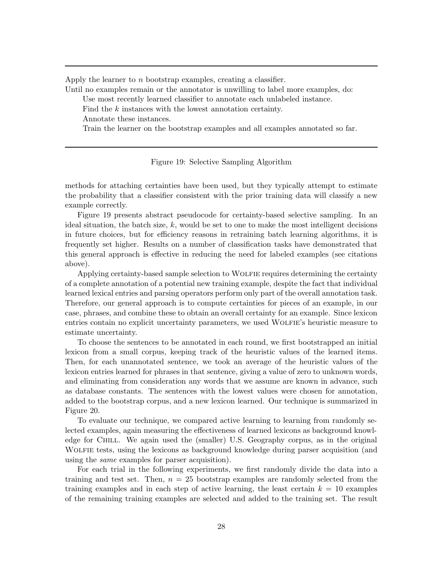Apply the learner to  $n$  bootstrap examples, creating a classifier.

Until no examples remain or the annotator is unwilling to label more examples, do:

Use most recently learned classifier to annotate each unlabeled instance.

Find the k instances with the lowest annotation certainty.

Annotate these instances.

Train the learner on the bootstrap examples and all examples annotated so far.

### Figure 19: Selective Sampling Algorithm

methods for attaching certainties have been used, but they typically attempt to estimate the probability that a classifier consistent with the prior training data will classify a new example correctly.

Figure 19 presents abstract pseudocode for certainty-based selective sampling. In an ideal situation, the batch size,  $k$ , would be set to one to make the most intelligent decisions in future choices, but for efficiency reasons in retraining batch learning algorithms, it is frequently set higher. Results on a number of classification tasks have demonstrated that this general approach is effective in reducing the need for labeled examples (see citations above).

Applying certainty-based sample selection to Wolfie requires determining the certainty of a complete annotation of a potential new training example, despite the fact that individual learned lexical entries and parsing operators perform only part of the overall annotation task. Therefore, our general approach is to compute certainties for pieces of an example, in our case, phrases, and combine these to obtain an overall certainty for an example. Since lexicon entries contain no explicit uncertainty parameters, we used WOLFIE's heuristic measure to estimate uncertainty.

To choose the sentences to be annotated in each round, we first bootstrapped an initial lexicon from a small corpus, keeping track of the heuristic values of the learned items. Then, for each unannotated sentence, we took an average of the heuristic values of the lexicon entries learned for phrases in that sentence, giving a value of zero to unknown words, and eliminating from consideration any words that we assume are known in advance, such as database constants. The sentences with the lowest values were chosen for annotation, added to the bootstrap corpus, and a new lexicon learned. Our technique is summarized in Figure 20.

To evaluate our technique, we compared active learning to learning from randomly selected examples, again measuring the effectiveness of learned lexicons as background knowledge for Chill. We again used the (smaller) U.S. Geography corpus, as in the original WOLFIE tests, using the lexicons as background knowledge during parser acquisition (and using the *same* examples for parser acquisition).

For each trial in the following experiments, we first randomly divide the data into a training and test set. Then,  $n = 25$  bootstrap examples are randomly selected from the training examples and in each step of active learning, the least certain  $k = 10$  examples of the remaining training examples are selected and added to the training set. The result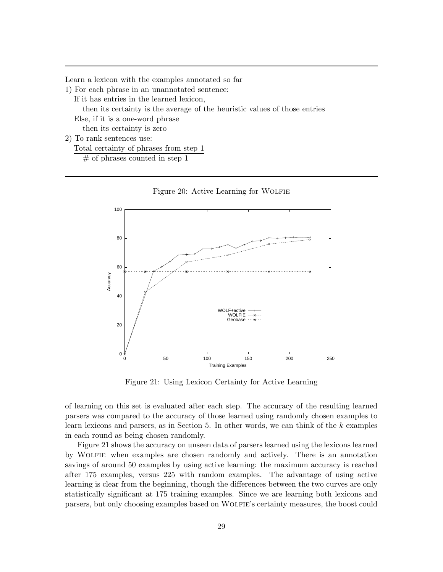Learn a lexicon with the examples annotated so far

1) For each phrase in an unannotated sentence:

If it has entries in the learned lexicon,

then its certainty is the average of the heuristic values of those entries

Else, if it is a one-word phrase

then its certainty is zero

2) To rank sentences use:

Total certainty of phrases from step 1

 $#$  of phrases counted in step 1



Figure 21: Using Lexicon Certainty for Active Learning

of learning on this set is evaluated after each step. The accuracy of the resulting learned parsers was compared to the accuracy of those learned using randomly chosen examples to learn lexicons and parsers, as in Section 5. In other words, we can think of the  $k$  examples in each round as being chosen randomly.

Figure 21 shows the accuracy on unseen data of parsers learned using the lexicons learned by Wolfie when examples are chosen randomly and actively. There is an annotation savings of around 50 examples by using active learning: the maximum accuracy is reached after 175 examples, versus 225 with random examples. The advantage of using active learning is clear from the beginning, though the differences between the two curves are only statistically significant at 175 training examples. Since we are learning both lexicons and parsers, but only choosing examples based on WOLFIE's certainty measures, the boost could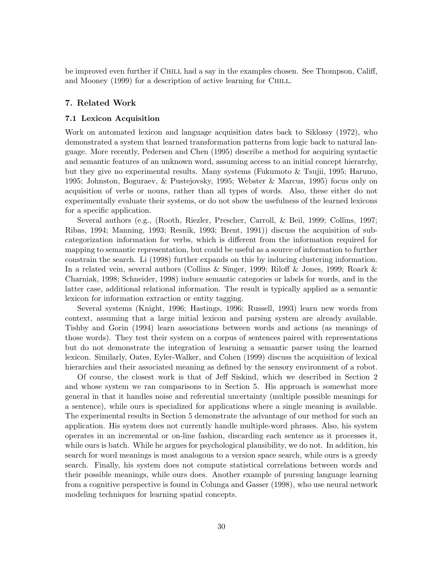be improved even further if CHILL had a say in the examples chosen. See Thompson, Califf, and Mooney (1999) for a description of active learning for Chill.

# **7. Related Work**

### **7.1 Lexicon Acquisition**

Work on automated lexicon and language acquisition dates back to Siklossy (1972), who demonstrated a system that learned transformation patterns from logic back to natural language. More recently, Pedersen and Chen (1995) describe a method for acquiring syntactic and semantic features of an unknown word, assuming access to an initial concept hierarchy, but they give no experimental results. Many systems (Fukumoto & Tsujii, 1995; Haruno, 1995; Johnston, Boguraev, & Pustejovsky, 1995; Webster & Marcus, 1995) focus only on acquisition of verbs or nouns, rather than all types of words. Also, these either do not experimentally evaluate their systems, or do not show the usefulness of the learned lexicons for a specific application.

Several authors (e.g., (Rooth, Riezler, Prescher, Carroll, & Beil, 1999; Collins, 1997; Ribas, 1994; Manning, 1993; Resnik, 1993; Brent, 1991)) discuss the acquisition of subcategorization information for verbs, which is different from the information required for mapping to semantic representation, but could be useful as a source of information to further constrain the search. Li (1998) further expands on this by inducing clustering information. In a related vein, several authors (Collins & Singer, 1999; Riloff & Jones, 1999; Roark & Charniak, 1998; Schneider, 1998) induce semantic categories or labels for words, and in the latter case, additional relational information. The result is typically applied as a semantic lexicon for information extraction or entity tagging.

Several systems (Knight, 1996; Hastings, 1996; Russell, 1993) learn new words from context, assuming that a large initial lexicon and parsing system are already available. Tishby and Gorin (1994) learn associations between words and actions (as meanings of those words). They test their system on a corpus of sentences paired with representations but do not demonstrate the integration of learning a semantic parser using the learned lexicon. Similarly, Oates, Eyler-Walker, and Cohen (1999) discuss the acquisition of lexical hierarchies and their associated meaning as defined by the sensory environment of a robot.

Of course, the closest work is that of Jeff Siskind, which we described in Section 2 and whose system we ran comparisons to in Section 5. His approach is somewhat more general in that it handles noise and referential uncertainty (multiple possible meanings for a sentence), while ours is specialized for applications where a single meaning is available. The experimental results in Section 5 demonstrate the advantage of our method for such an application. His system does not currently handle multiple-word phrases. Also, his system operates in an incremental or on-line fashion, discarding each sentence as it processes it, while ours is batch. While he argues for psychological plausibility, we do not. In addition, his search for word meanings is most analogous to a version space search, while ours is a greedy search. Finally, his system does not compute statistical correlations between words and their possible meanings, while ours does. Another example of pursuing language learning from a cognitive perspective is found in Colunga and Gasser (1998), who use neural network modeling techniques for learning spatial concepts.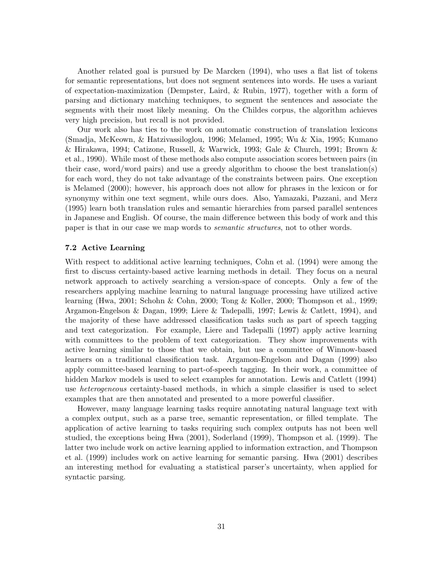Another related goal is pursued by De Marcken (1994), who uses a flat list of tokens for semantic representations, but does not segment sentences into words. He uses a variant of expectation-maximization (Dempster, Laird, & Rubin, 1977), together with a form of parsing and dictionary matching techniques, to segment the sentences and associate the segments with their most likely meaning. On the Childes corpus, the algorithm achieves very high precision, but recall is not provided.

Our work also has ties to the work on automatic construction of translation lexicons (Smadja, McKeown, & Hatzivassiloglou, 1996; Melamed, 1995; Wu & Xia, 1995; Kumano & Hirakawa, 1994; Catizone, Russell, & Warwick, 1993; Gale & Church, 1991; Brown & et al., 1990). While most of these methods also compute association scores between pairs (in their case, word/word pairs) and use a greedy algorithm to choose the best translation(s) for each word, they do not take advantage of the constraints between pairs. One exception is Melamed (2000); however, his approach does not allow for phrases in the lexicon or for synonymy within one text segment, while ours does. Also, Yamazaki, Pazzani, and Merz (1995) learn both translation rules and semantic hierarchies from parsed parallel sentences in Japanese and English. Of course, the main difference between this body of work and this paper is that in our case we map words to *semantic structures*, not to other words.

# **7.2 Active Learning**

With respect to additional active learning techniques, Cohn et al. (1994) were among the first to discuss certainty-based active learning methods in detail. They focus on a neural network approach to actively searching a version-space of concepts. Only a few of the researchers applying machine learning to natural language processing have utilized active learning (Hwa, 2001; Schohn & Cohn, 2000; Tong & Koller, 2000; Thompson et al., 1999; Argamon-Engelson & Dagan, 1999; Liere & Tadepalli, 1997; Lewis & Catlett, 1994), and the majority of these have addressed classification tasks such as part of speech tagging and text categorization. For example, Liere and Tadepalli (1997) apply active learning with committees to the problem of text categorization. They show improvements with active learning similar to those that we obtain, but use a committee of Winnow-based learners on a traditional classification task. Argamon-Engelson and Dagan (1999) also apply committee-based learning to part-of-speech tagging. In their work, a committee of hidden Markov models is used to select examples for annotation. Lewis and Catlett (1994) use *heterogeneous* certainty-based methods, in which a simple classifier is used to select examples that are then annotated and presented to a more powerful classifier.

However, many language learning tasks require annotating natural language text with a complex output, such as a parse tree, semantic representation, or filled template. The application of active learning to tasks requiring such complex outputs has not been well studied, the exceptions being Hwa (2001), Soderland (1999), Thompson et al. (1999). The latter two include work on active learning applied to information extraction, and Thompson et al. (1999) includes work on active learning for semantic parsing. Hwa (2001) describes an interesting method for evaluating a statistical parser's uncertainty, when applied for syntactic parsing.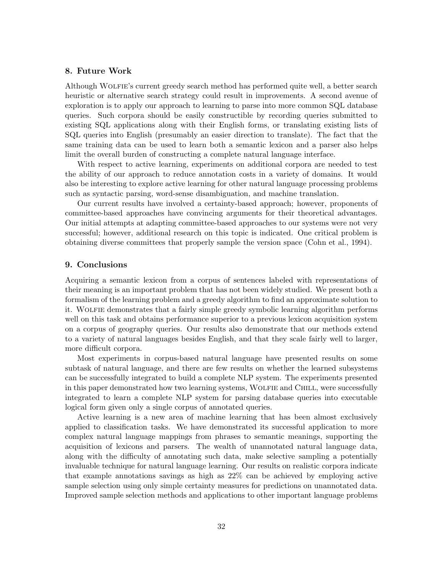# **8. Future Work**

Although Wolfie's current greedy search method has performed quite well, a better search heuristic or alternative search strategy could result in improvements. A second avenue of exploration is to apply our approach to learning to parse into more common SQL database queries. Such corpora should be easily constructible by recording queries submitted to existing SQL applications along with their English forms, or translating existing lists of SQL queries into English (presumably an easier direction to translate). The fact that the same training data can be used to learn both a semantic lexicon and a parser also helps limit the overall burden of constructing a complete natural language interface.

With respect to active learning, experiments on additional corpora are needed to test the ability of our approach to reduce annotation costs in a variety of domains. It would also be interesting to explore active learning for other natural language processing problems such as syntactic parsing, word-sense disambiguation, and machine translation.

Our current results have involved a certainty-based approach; however, proponents of committee-based approaches have convincing arguments for their theoretical advantages. Our initial attempts at adapting committee-based approaches to our systems were not very successful; however, additional research on this topic is indicated. One critical problem is obtaining diverse committees that properly sample the version space (Cohn et al., 1994).

# **9. Conclusions**

Acquiring a semantic lexicon from a corpus of sentences labeled with representations of their meaning is an important problem that has not been widely studied. We present both a formalism of the learning problem and a greedy algorithm to find an approximate solution to it. Wolfie demonstrates that a fairly simple greedy symbolic learning algorithm performs well on this task and obtains performance superior to a previous lexicon acquisition system on a corpus of geography queries. Our results also demonstrate that our methods extend to a variety of natural languages besides English, and that they scale fairly well to larger, more difficult corpora.

Most experiments in corpus-based natural language have presented results on some subtask of natural language, and there are few results on whether the learned subsystems can be successfully integrated to build a complete NLP system. The experiments presented in this paper demonstrated how two learning systems, WOLFIE and CHILL, were successfully integrated to learn a complete NLP system for parsing database queries into executable logical form given only a single corpus of annotated queries.

Active learning is a new area of machine learning that has been almost exclusively applied to classification tasks. We have demonstrated its successful application to more complex natural language mappings from phrases to semantic meanings, supporting the acquisition of lexicons and parsers. The wealth of unannotated natural language data, along with the difficulty of annotating such data, make selective sampling a potentially invaluable technique for natural language learning. Our results on realistic corpora indicate that example annotations savings as high as 22% can be achieved by employing active sample selection using only simple certainty measures for predictions on unannotated data. Improved sample selection methods and applications to other important language problems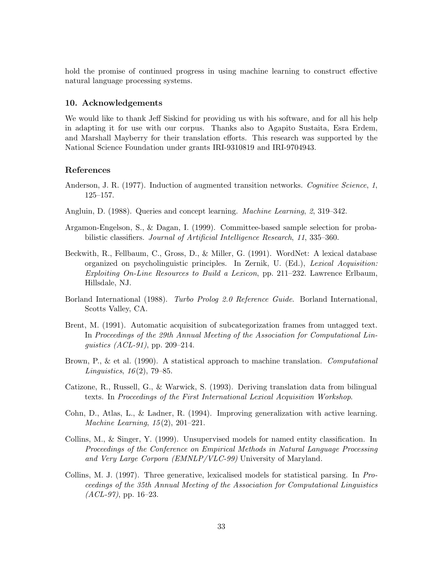hold the promise of continued progress in using machine learning to construct effective natural language processing systems.

# **10. Acknowledgements**

We would like to thank Jeff Siskind for providing us with his software, and for all his help in adapting it for use with our corpus. Thanks also to Agapito Sustaita, Esra Erdem, and Marshall Mayberry for their translation efforts. This research was supported by the National Science Foundation under grants IRI-9310819 and IRI-9704943.

# **References**

- Anderson, J. R. (1977). Induction of augmented transition networks. *Cognitive Science*, *1*, 125–157.
- Angluin, D. (1988). Queries and concept learning. *Machine Learning*, *2*, 319–342.
- Argamon-Engelson, S., & Dagan, I. (1999). Committee-based sample selection for probabilistic classifiers. *Journal of Artificial Intelligence Research*, *11*, 335–360.
- Beckwith, R., Fellbaum, C., Gross, D., & Miller, G. (1991). WordNet: A lexical database organized on psycholinguistic principles. In Zernik, U. (Ed.), *Lexical Acquisition: Exploiting On-Line Resources to Build a Lexicon*, pp. 211–232. Lawrence Erlbaum, Hillsdale, NJ.
- Borland International (1988). *Turbo Prolog 2.0 Reference Guide*. Borland International, Scotts Valley, CA.
- Brent, M. (1991). Automatic acquisition of subcategorization frames from untagged text. In *Proceedings of the 29th Annual Meeting of the Association for Computational Linguistics (ACL-91)*, pp. 209–214.
- Brown, P., & et al. (1990). A statistical approach to machine translation. *Computational Linguistics*, *16*(2), 79–85.
- Catizone, R., Russell, G., & Warwick, S. (1993). Deriving translation data from bilingual texts. In *Proceedings of the First International Lexical Acquisition Workshop*.
- Cohn, D., Atlas, L., & Ladner, R. (1994). Improving generalization with active learning. *Machine Learning*, *15*(2), 201–221.
- Collins, M., & Singer, Y. (1999). Unsupervised models for named entity classification. In *Proceedings of the Conference on Empirical Methods in Natural Language Processing and Very Large Corpora (EMNLP/VLC-99)* University of Maryland.
- Collins, M. J. (1997). Three generative, lexicalised models for statistical parsing. In *Proceedings of the 35th Annual Meeting of the Association for Computational Linguistics (ACL-97)*, pp. 16–23.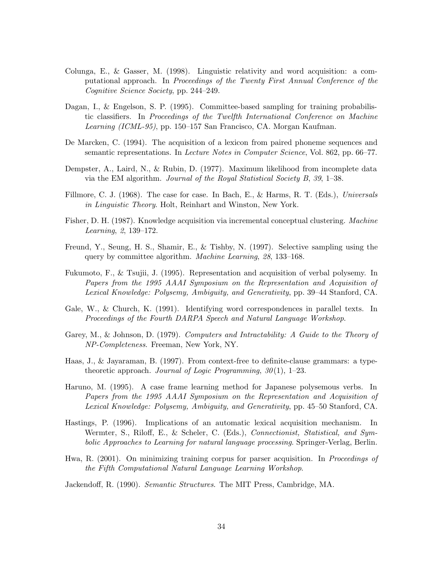- Colunga, E., & Gasser, M. (1998). Linguistic relativity and word acquisition: a computational approach. In *Proceedings of the Twenty First Annual Conference of the Cognitive Science Society*, pp. 244–249.
- Dagan, I., & Engelson, S. P. (1995). Committee-based sampling for training probabilistic classifiers. In *Proceedings of the Twelfth International Conference on Machine Learning (ICML-95)*, pp. 150–157 San Francisco, CA. Morgan Kaufman.
- De Marcken, C. (1994). The acquisition of a lexicon from paired phoneme sequences and semantic representations. In *Lecture Notes in Computer Science*, Vol. 862, pp. 66–77.
- Dempster, A., Laird, N., & Rubin, D. (1977). Maximum likelihood from incomplete data via the EM algorithm. *Journal of the Royal Statistical Society B*, *39*, 1–38.
- Fillmore, C. J. (1968). The case for case. In Bach, E., & Harms, R. T. (Eds.), *Universals in Linguistic Theory*. Holt, Reinhart and Winston, New York.
- Fisher, D. H. (1987). Knowledge acquisition via incremental conceptual clustering. *Machine Learning*, *2*, 139–172.
- Freund, Y., Seung, H. S., Shamir, E., & Tishby, N. (1997). Selective sampling using the query by committee algorithm. *Machine Learning*, *28*, 133–168.
- Fukumoto, F., & Tsujii, J. (1995). Representation and acquisition of verbal polysemy. In *Papers from the 1995 AAAI Symposium on the Representation and Acquisition of Lexical Knowledge: Polysemy, Ambiguity, and Generativity*, pp. 39–44 Stanford, CA.
- Gale, W., & Church, K. (1991). Identifying word correspondences in parallel texts. In *Proceedings of the Fourth DARPA Speech and Natural Language Workshop*.
- Garey, M., & Johnson, D. (1979). *Computers and Intractability: A Guide to the Theory of NP-Completeness*. Freeman, New York, NY.
- Haas, J., & Jayaraman, B. (1997). From context-free to definite-clause grammars: a typetheoretic approach. *Journal of Logic Programming*, *30*(1), 1–23.
- Haruno, M. (1995). A case frame learning method for Japanese polysemous verbs. In *Papers from the 1995 AAAI Symposium on the Representation and Acquisition of Lexical Knowledge: Polysemy, Ambiguity, and Generativity*, pp. 45–50 Stanford, CA.
- Hastings, P. (1996). Implications of an automatic lexical acquisition mechanism. In Wermter, S., Riloff, E., & Scheler, C. (Eds.), *Connectionist, Statistical, and Symbolic Approaches to Learning for natural language processing*. Springer-Verlag, Berlin.
- Hwa, R. (2001). On minimizing training corpus for parser acquisition. In *Proceedings of the Fifth Computational Natural Language Learning Workshop*.
- Jackendoff, R. (1990). *Semantic Structures*. The MIT Press, Cambridge, MA.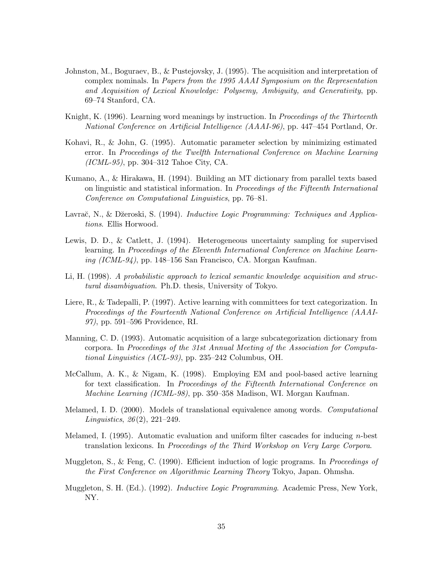- Johnston, M., Boguraev, B., & Pustejovsky, J. (1995). The acquisition and interpretation of complex nominals. In *Papers from the 1995 AAAI Symposium on the Representation and Acquisition of Lexical Knowledge: Polysemy, Ambiguity, and Generativity*, pp. 69–74 Stanford, CA.
- Knight, K. (1996). Learning word meanings by instruction. In *Proceedings of the Thirteenth National Conference on Artificial Intelligence (AAAI-96)*, pp. 447–454 Portland, Or.
- Kohavi, R., & John, G. (1995). Automatic parameter selection by minimizing estimated error. In *Proceedings of the Twelfth International Conference on Machine Learning (ICML-95)*, pp. 304–312 Tahoe City, CA.
- Kumano, A., & Hirakawa, H. (1994). Building an MT dictionary from parallel texts based on linguistic and statistical information. In *Proceedings of the Fifteenth International Conference on Computational Linguistics*, pp. 76–81.
- Lavrač, N., & Džeroski, S. (1994). *Inductive Logic Programming: Techniques and Applications*. Ellis Horwood.
- Lewis, D. D., & Catlett, J. (1994). Heterogeneous uncertainty sampling for supervised learning. In *Proceedings of the Eleventh International Conference on Machine Learning (ICML-94)*, pp. 148–156 San Francisco, CA. Morgan Kaufman.
- Li, H. (1998). *A probabilistic approach to lexical semantic knowledge acquisition and structural disambiguation*. Ph.D. thesis, University of Tokyo.
- Liere, R., & Tadepalli, P. (1997). Active learning with committees for text categorization. In *Proceedings of the Fourteenth National Conference on Artificial Intelligence (AAAI-97)*, pp. 591–596 Providence, RI.
- Manning, C. D. (1993). Automatic acquisition of a large subcategorization dictionary from corpora. In *Proceedings of the 31st Annual Meeting of the Association for Computational Linguistics (ACL-93)*, pp. 235–242 Columbus, OH.
- McCallum, A. K., & Nigam, K. (1998). Employing EM and pool-based active learning for text classification. In *Proceedings of the Fifteenth International Conference on Machine Learning (ICML-98)*, pp. 350–358 Madison, WI. Morgan Kaufman.
- Melamed, I. D. (2000). Models of translational equivalence among words. *Computational Linguistics*, *26*(2), 221–249.
- Melamed, I. (1995). Automatic evaluation and uniform filter cascades for inducing  $n$ -best translation lexicons. In *Proceedings of the Third Workshop on Very Large Corpora*.
- Muggleton, S., & Feng, C. (1990). Efficient induction of logic programs. In *Proceedings of the First Conference on Algorithmic Learning Theory* Tokyo, Japan. Ohmsha.
- Muggleton, S. H. (Ed.). (1992). *Inductive Logic Programming*. Academic Press, New York, NY.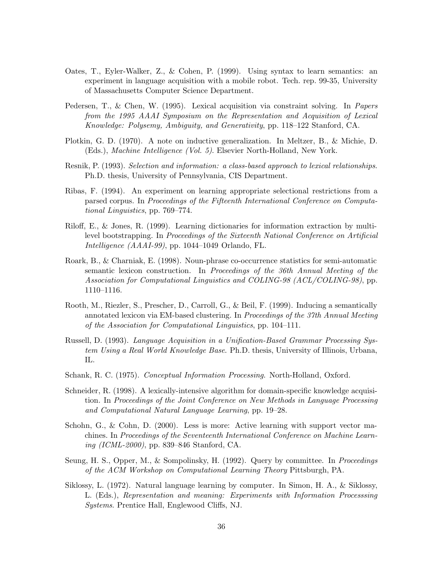- Oates, T., Eyler-Walker, Z., & Cohen, P. (1999). Using syntax to learn semantics: an experiment in language acquisition with a mobile robot. Tech. rep. 99-35, University of Massachusetts Computer Science Department.
- Pedersen, T., & Chen, W. (1995). Lexical acquisition via constraint solving. In *Papers from the 1995 AAAI Symposium on the Representation and Acquisition of Lexical Knowledge: Polysemy, Ambiguity, and Generativity*, pp. 118–122 Stanford, CA.
- Plotkin, G. D. (1970). A note on inductive generalization. In Meltzer, B., & Michie, D. (Eds.), *Machine Intelligence (Vol. 5)*. Elsevier North-Holland, New York.
- Resnik, P. (1993). *Selection and information: a class-based approach to lexical relationships*. Ph.D. thesis, University of Pennsylvania, CIS Department.
- Ribas, F. (1994). An experiment on learning appropriate selectional restrictions from a parsed corpus. In *Proceedings of the Fifteenth International Conference on Computational Linguistics*, pp. 769–774.
- Riloff, E., & Jones, R. (1999). Learning dictionaries for information extraction by multilevel bootstrapping. In *Proceedings of the Sixteenth National Conference on Artificial Intelligence (AAAI-99)*, pp. 1044–1049 Orlando, FL.
- Roark, B., & Charniak, E. (1998). Noun-phrase co-occurrence statistics for semi-automatic semantic lexicon construction. In *Proceedings of the 36th Annual Meeting of the Association for Computational Linguistics and COLING-98 (ACL/COLING-98)*, pp. 1110–1116.
- Rooth, M., Riezler, S., Prescher, D., Carroll, G., & Beil, F. (1999). Inducing a semantically annotated lexicon via EM-based clustering. In *Proceedings of the 37th Annual Meeting of the Association for Computational Linguistics*, pp. 104–111.
- Russell, D. (1993). *Language Acquisition in a Unification-Based Grammar Processing System Using a Real World Knowledge Base*. Ph.D. thesis, University of Illinois, Urbana, IL.
- Schank, R. C. (1975). *Conceptual Information Processing*. North-Holland, Oxford.
- Schneider, R. (1998). A lexically-intensive algorithm for domain-specific knowledge acquisition. In *Proceedings of the Joint Conference on New Methods in Language Processing and Computational Natural Language Learning*, pp. 19–28.
- Schohn, G., & Cohn, D. (2000). Less is more: Active learning with support vector machines. In *Proceedings of the Seventeenth International Conference on Machine Learning (ICML-2000)*, pp. 839–846 Stanford, CA.
- Seung, H. S., Opper, M., & Sompolinsky, H. (1992). Query by committee. In *Proceedings of the ACM Workshop on Computational Learning Theory* Pittsburgh, PA.
- Siklossy, L. (1972). Natural language learning by computer. In Simon, H. A., & Siklossy, L. (Eds.), *Representation and meaning: Experiments with Information Processsing Systems*. Prentice Hall, Englewood Cliffs, NJ.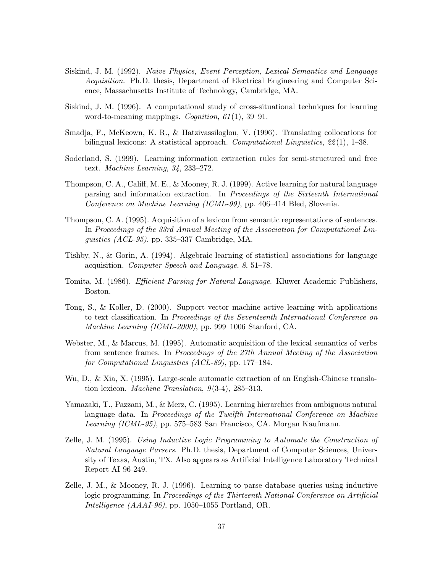- Siskind, J. M. (1992). *Naive Physics, Event Perception, Lexical Semantics and Language Acquisition*. Ph.D. thesis, Department of Electrical Engineering and Computer Science, Massachusetts Institute of Technology, Cambridge, MA.
- Siskind, J. M. (1996). A computational study of cross-situational techniques for learning word-to-meaning mappings. *Cognition*, *61*(1), 39–91.
- Smadja, F., McKeown, K. R., & Hatzivassiloglou, V. (1996). Translating collocations for bilingual lexicons: A statistical approach. *Computational Linguistics*, *22*(1), 1–38.
- Soderland, S. (1999). Learning information extraction rules for semi-structured and free text. *Machine Learning*, *34*, 233–272.
- Thompson, C. A., Califf, M. E., & Mooney, R. J. (1999). Active learning for natural language parsing and information extraction. In *Proceedings of the Sixteenth International Conference on Machine Learning (ICML-99)*, pp. 406–414 Bled, Slovenia.
- Thompson, C. A. (1995). Acquisition of a lexicon from semantic representations of sentences. In *Proceedings of the 33rd Annual Meeting of the Association for Computational Linguistics (ACL-95)*, pp. 335–337 Cambridge, MA.
- Tishby, N., & Gorin, A. (1994). Algebraic learning of statistical associations for language acquisition. *Computer Speech and Language*, *8*, 51–78.
- Tomita, M. (1986). *Efficient Parsing for Natural Language*. Kluwer Academic Publishers, Boston.
- Tong, S., & Koller, D. (2000). Support vector machine active learning with applications to text classification. In *Proceedings of the Seventeenth International Conference on Machine Learning (ICML-2000)*, pp. 999–1006 Stanford, CA.
- Webster, M., & Marcus, M. (1995). Automatic acquisition of the lexical semantics of verbs from sentence frames. In *Proceedings of the 27th Annual Meeting of the Association for Computational Linguistics (ACL-89)*, pp. 177–184.
- Wu, D., & Xia, X. (1995). Large-scale automatic extraction of an English-Chinese translation lexicon. *Machine Translation*, *9*(3-4), 285–313.
- Yamazaki, T., Pazzani, M., & Merz, C. (1995). Learning hierarchies from ambiguous natural language data. In *Proceedings of the Twelfth International Conference on Machine Learning (ICML-95)*, pp. 575–583 San Francisco, CA. Morgan Kaufmann.
- Zelle, J. M. (1995). *Using Inductive Logic Programming to Automate the Construction of Natural Language Parsers*. Ph.D. thesis, Department of Computer Sciences, University of Texas, Austin, TX. Also appears as Artificial Intelligence Laboratory Technical Report AI 96-249.
- Zelle, J. M., & Mooney, R. J. (1996). Learning to parse database queries using inductive logic programming. In *Proceedings of the Thirteenth National Conference on Artificial Intelligence (AAAI-96)*, pp. 1050–1055 Portland, OR.